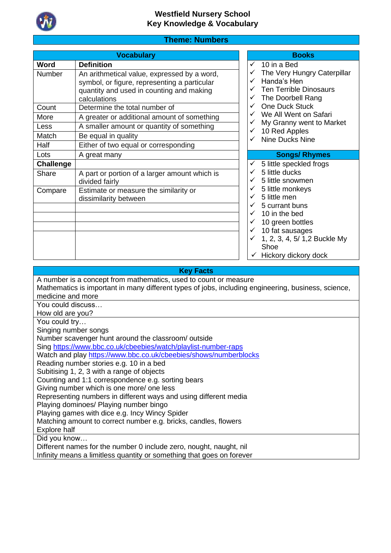

# **Theme: Numbers**

| <b>Vocabulary</b>                                                                                                                                       | <b>Books</b>                                                                                                                                                                    |
|---------------------------------------------------------------------------------------------------------------------------------------------------------|---------------------------------------------------------------------------------------------------------------------------------------------------------------------------------|
| <b>Definition</b>                                                                                                                                       | 10 in a Bed<br>$\checkmark$                                                                                                                                                     |
| An arithmetical value, expressed by a word,<br>symbol, or figure, representing a particular<br>quantity and used in counting and making<br>calculations | The Very Hungry Caterpillar<br>Handa's Hen<br><b>Ten Terrible Dinosaurs</b><br>The Doorbell Rang<br>✓                                                                           |
| Determine the total number of                                                                                                                           | <b>One Duck Stuck</b>                                                                                                                                                           |
| A greater or additional amount of something                                                                                                             | We All Went on Safari                                                                                                                                                           |
| A smaller amount or quantity of something                                                                                                               | My Granny went to Market<br>10 Red Apples<br>✓                                                                                                                                  |
| Be equal in quality                                                                                                                                     | <b>Nine Ducks Nine</b>                                                                                                                                                          |
| Either of two equal or corresponding                                                                                                                    |                                                                                                                                                                                 |
| A great many                                                                                                                                            | <b>Songs/ Rhymes</b>                                                                                                                                                            |
|                                                                                                                                                         | 5 little speckled frogs                                                                                                                                                         |
| A part or portion of a larger amount which is<br>divided fairly                                                                                         | 5 little ducks<br>5 little snowmen                                                                                                                                              |
| Estimate or measure the similarity or<br>dissimilarity between                                                                                          | 5 little monkeys<br>5 little men<br>5 currant buns<br>10 in the bed<br>10 green bottles<br>10 fat sausages<br>✓<br>1, 2, 3, 4, 5/ 1,2 Buckle My<br>Shoe<br>Hickory dickory dock |
|                                                                                                                                                         |                                                                                                                                                                                 |

**Key Facts**

| A number is a concept from mathematics, used to count or measure                                    |
|-----------------------------------------------------------------------------------------------------|
| Mathematics is important in many different types of jobs, including engineering, business, science, |
| medicine and more                                                                                   |
| You could discuss                                                                                   |
| How old are you?                                                                                    |
| You could try                                                                                       |
| Singing number songs                                                                                |
| Number scavenger hunt around the classroom/outside                                                  |
| Sing https://www.bbc.co.uk/cbeebies/watch/playlist-number-raps                                      |
| Watch and play https://www.bbc.co.uk/cbeebies/shows/numberblocks                                    |
| Reading number stories e.g. 10 in a bed                                                             |
| Subitising 1, 2, 3 with a range of objects                                                          |
| Counting and 1:1 correspondence e.g. sorting bears                                                  |
| Giving number which is one more/ one less                                                           |
| Representing numbers in different ways and using different media                                    |
| Playing dominoes/ Playing number bingo                                                              |
| Playing games with dice e.g. Incy Wincy Spider                                                      |
| Matching amount to correct number e.g. bricks, candles, flowers                                     |
| <b>Explore half</b>                                                                                 |
| Did you know                                                                                        |
| Different names for the number 0 include zero, nought, naught, nil                                  |
| Infinity means a limitless quantity or something that goes on forever                               |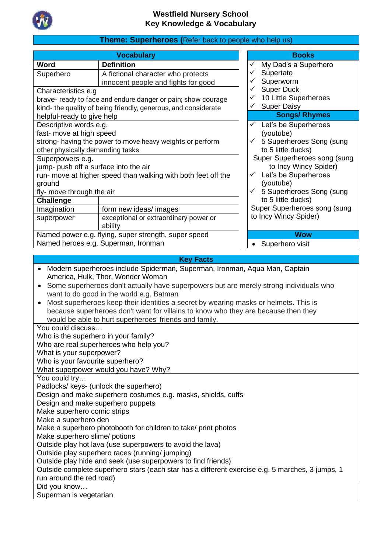

# **Theme: Superheroes (**Refer back to people who help us)

| Word                                                                                                                                                                                                                                                                                           |                                                                                                                                                                                                                                                                                                                                                                                                                                                                                                                                                                                                                                                                                                        | <b>Books</b>                                                                                                                                                                                                                                                                                                                                                                                                                                    |  |  |
|------------------------------------------------------------------------------------------------------------------------------------------------------------------------------------------------------------------------------------------------------------------------------------------------|--------------------------------------------------------------------------------------------------------------------------------------------------------------------------------------------------------------------------------------------------------------------------------------------------------------------------------------------------------------------------------------------------------------------------------------------------------------------------------------------------------------------------------------------------------------------------------------------------------------------------------------------------------------------------------------------------------|-------------------------------------------------------------------------------------------------------------------------------------------------------------------------------------------------------------------------------------------------------------------------------------------------------------------------------------------------------------------------------------------------------------------------------------------------|--|--|
|                                                                                                                                                                                                                                                                                                | <b>Definition</b>                                                                                                                                                                                                                                                                                                                                                                                                                                                                                                                                                                                                                                                                                      | My Dad's a Superhero<br>✓                                                                                                                                                                                                                                                                                                                                                                                                                       |  |  |
| Superhero                                                                                                                                                                                                                                                                                      | A fictional character who protects                                                                                                                                                                                                                                                                                                                                                                                                                                                                                                                                                                                                                                                                     | ✓<br>Supertato                                                                                                                                                                                                                                                                                                                                                                                                                                  |  |  |
|                                                                                                                                                                                                                                                                                                | innocent people and fights for good                                                                                                                                                                                                                                                                                                                                                                                                                                                                                                                                                                                                                                                                    | Superworm<br>✓                                                                                                                                                                                                                                                                                                                                                                                                                                  |  |  |
| Characteristics e.g                                                                                                                                                                                                                                                                            |                                                                                                                                                                                                                                                                                                                                                                                                                                                                                                                                                                                                                                                                                                        |                                                                                                                                                                                                                                                                                                                                                                                                                                                 |  |  |
|                                                                                                                                                                                                                                                                                                | brave- ready to face and endure danger or pain; show courage                                                                                                                                                                                                                                                                                                                                                                                                                                                                                                                                                                                                                                           |                                                                                                                                                                                                                                                                                                                                                                                                                                                 |  |  |
|                                                                                                                                                                                                                                                                                                |                                                                                                                                                                                                                                                                                                                                                                                                                                                                                                                                                                                                                                                                                                        | ✓                                                                                                                                                                                                                                                                                                                                                                                                                                               |  |  |
|                                                                                                                                                                                                                                                                                                |                                                                                                                                                                                                                                                                                                                                                                                                                                                                                                                                                                                                                                                                                                        |                                                                                                                                                                                                                                                                                                                                                                                                                                                 |  |  |
|                                                                                                                                                                                                                                                                                                |                                                                                                                                                                                                                                                                                                                                                                                                                                                                                                                                                                                                                                                                                                        | $\checkmark$                                                                                                                                                                                                                                                                                                                                                                                                                                    |  |  |
|                                                                                                                                                                                                                                                                                                |                                                                                                                                                                                                                                                                                                                                                                                                                                                                                                                                                                                                                                                                                                        |                                                                                                                                                                                                                                                                                                                                                                                                                                                 |  |  |
|                                                                                                                                                                                                                                                                                                |                                                                                                                                                                                                                                                                                                                                                                                                                                                                                                                                                                                                                                                                                                        |                                                                                                                                                                                                                                                                                                                                                                                                                                                 |  |  |
|                                                                                                                                                                                                                                                                                                |                                                                                                                                                                                                                                                                                                                                                                                                                                                                                                                                                                                                                                                                                                        |                                                                                                                                                                                                                                                                                                                                                                                                                                                 |  |  |
|                                                                                                                                                                                                                                                                                                |                                                                                                                                                                                                                                                                                                                                                                                                                                                                                                                                                                                                                                                                                                        |                                                                                                                                                                                                                                                                                                                                                                                                                                                 |  |  |
|                                                                                                                                                                                                                                                                                                |                                                                                                                                                                                                                                                                                                                                                                                                                                                                                                                                                                                                                                                                                                        |                                                                                                                                                                                                                                                                                                                                                                                                                                                 |  |  |
|                                                                                                                                                                                                                                                                                                |                                                                                                                                                                                                                                                                                                                                                                                                                                                                                                                                                                                                                                                                                                        |                                                                                                                                                                                                                                                                                                                                                                                                                                                 |  |  |
|                                                                                                                                                                                                                                                                                                |                                                                                                                                                                                                                                                                                                                                                                                                                                                                                                                                                                                                                                                                                                        |                                                                                                                                                                                                                                                                                                                                                                                                                                                 |  |  |
|                                                                                                                                                                                                                                                                                                |                                                                                                                                                                                                                                                                                                                                                                                                                                                                                                                                                                                                                                                                                                        |                                                                                                                                                                                                                                                                                                                                                                                                                                                 |  |  |
|                                                                                                                                                                                                                                                                                                |                                                                                                                                                                                                                                                                                                                                                                                                                                                                                                                                                                                                                                                                                                        |                                                                                                                                                                                                                                                                                                                                                                                                                                                 |  |  |
|                                                                                                                                                                                                                                                                                                |                                                                                                                                                                                                                                                                                                                                                                                                                                                                                                                                                                                                                                                                                                        |                                                                                                                                                                                                                                                                                                                                                                                                                                                 |  |  |
|                                                                                                                                                                                                                                                                                                | ability                                                                                                                                                                                                                                                                                                                                                                                                                                                                                                                                                                                                                                                                                                |                                                                                                                                                                                                                                                                                                                                                                                                                                                 |  |  |
|                                                                                                                                                                                                                                                                                                | Named power e.g. flying, super strength, super speed                                                                                                                                                                                                                                                                                                                                                                                                                                                                                                                                                                                                                                                   | <b>Wow</b>                                                                                                                                                                                                                                                                                                                                                                                                                                      |  |  |
|                                                                                                                                                                                                                                                                                                | Named heroes e.g. Superman, Ironman                                                                                                                                                                                                                                                                                                                                                                                                                                                                                                                                                                                                                                                                    | • Superhero visit                                                                                                                                                                                                                                                                                                                                                                                                                               |  |  |
|                                                                                                                                                                                                                                                                                                |                                                                                                                                                                                                                                                                                                                                                                                                                                                                                                                                                                                                                                                                                                        |                                                                                                                                                                                                                                                                                                                                                                                                                                                 |  |  |
|                                                                                                                                                                                                                                                                                                | Modern superheroes include Spiderman, Superman, Ironman, Aqua Man, Captain                                                                                                                                                                                                                                                                                                                                                                                                                                                                                                                                                                                                                             |                                                                                                                                                                                                                                                                                                                                                                                                                                                 |  |  |
|                                                                                                                                                                                                                                                                                                |                                                                                                                                                                                                                                                                                                                                                                                                                                                                                                                                                                                                                                                                                                        |                                                                                                                                                                                                                                                                                                                                                                                                                                                 |  |  |
|                                                                                                                                                                                                                                                                                                |                                                                                                                                                                                                                                                                                                                                                                                                                                                                                                                                                                                                                                                                                                        |                                                                                                                                                                                                                                                                                                                                                                                                                                                 |  |  |
|                                                                                                                                                                                                                                                                                                |                                                                                                                                                                                                                                                                                                                                                                                                                                                                                                                                                                                                                                                                                                        |                                                                                                                                                                                                                                                                                                                                                                                                                                                 |  |  |
|                                                                                                                                                                                                                                                                                                |                                                                                                                                                                                                                                                                                                                                                                                                                                                                                                                                                                                                                                                                                                        |                                                                                                                                                                                                                                                                                                                                                                                                                                                 |  |  |
|                                                                                                                                                                                                                                                                                                |                                                                                                                                                                                                                                                                                                                                                                                                                                                                                                                                                                                                                                                                                                        |                                                                                                                                                                                                                                                                                                                                                                                                                                                 |  |  |
|                                                                                                                                                                                                                                                                                                |                                                                                                                                                                                                                                                                                                                                                                                                                                                                                                                                                                                                                                                                                                        |                                                                                                                                                                                                                                                                                                                                                                                                                                                 |  |  |
| helpful-ready to give help<br>Descriptive words e.g.<br>fast- move at high speed<br>other physically demanding tasks<br>Superpowers e.g.<br>jump- push off a surface into the air<br>ground<br>fly- move through the air<br><b>Challenge</b><br>Imagination<br>superpower<br>You could discuss | kind- the quality of being friendly, generous, and considerate<br>strong- having the power to move heavy weights or perform<br>run- move at higher speed than walking with both feet off the<br>form new ideas/ images<br>exceptional or extraordinary power or<br><b>Key Facts</b><br>America, Hulk, Thor, Wonder Woman<br>Some superheroes don't actually have superpowers but are merely strong individuals who<br>want to do good in the world e.g. Batman<br>Most superheroes keep their identities a secret by wearing masks or helmets. This is<br>because superheroes don't want for villains to know who they are because then they<br>would be able to hurt superheroes' friends and family. | <b>Super Duck</b><br>✓<br>10 Little Superheroes<br>✓<br><b>Super Daisy</b><br><b>Songs/ Rhymes</b><br>Let's be Superheroes<br>(youtube)<br>$\checkmark$ 5 Superheroes Song (sung<br>to 5 little ducks)<br>Super Superheroes song (sung<br>to Incy Wincy Spider)<br>Let's be Superheroes<br>$\checkmark$<br>(youtube)<br>5 Superheroes Song (sung<br>$\checkmark$<br>to 5 little ducks)<br>Super Superheroes song (sung<br>to Incy Wincy Spider) |  |  |

Who is the superhero in your family?

Who are real superheroes who help you?

What is your superpower?

Who is your favourite superhero?

What superpower would you have? Why?

You could try… Padlocks/ keys- (unlock the superhero)

Design and make superhero costumes e.g. masks, shields, cuffs

Design and make superhero puppets

Make superhero comic strips Make a superhero den

Make a superhero photobooth for children to take/ print photos

Make superhero slime/ potions

Outside play hot lava (use superpowers to avoid the lava)

Outside play superhero races (running/ jumping)

Outside play hide and seek (use superpowers to find friends)

Outside complete superhero stars (each star has a different exercise e.g. 5 marches, 3 jumps, 1 run around the red road)

Did you know…

Superman is vegetarian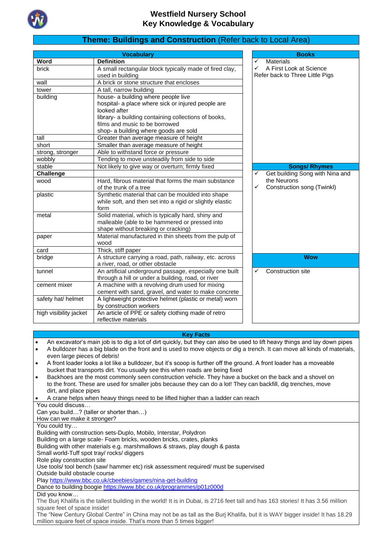

### **Theme: Buildings and Construction** (Refer back to Local Area)

|                        | <b>Vocabulary</b>                                         | <b>Books</b>                         |  |  |  |
|------------------------|-----------------------------------------------------------|--------------------------------------|--|--|--|
| Word                   | <b>Definition</b>                                         | ✓<br><b>Materials</b>                |  |  |  |
| brick                  | A small rectangular block typically made of fired clay,   | A First Look at Science<br>✓         |  |  |  |
|                        | used in building                                          | Refer back to Three Little Pigs      |  |  |  |
| wall                   | A brick or stone structure that encloses                  |                                      |  |  |  |
| tower                  | A tall, narrow building                                   |                                      |  |  |  |
| building               | house- a building where people live                       |                                      |  |  |  |
|                        | hospital- a place where sick or injured people are        |                                      |  |  |  |
|                        | looked after                                              |                                      |  |  |  |
|                        | library- a building containing collections of books,      |                                      |  |  |  |
|                        | films and music to be borrowed                            |                                      |  |  |  |
|                        | shop- a building where goods are sold                     |                                      |  |  |  |
| tall                   | Greater than average measure of height                    |                                      |  |  |  |
| short                  | Smaller than average measure of height                    |                                      |  |  |  |
| strong, stronger       | Able to withstand force or pressure                       |                                      |  |  |  |
| wobbly                 | Tending to move unsteadily from side to side              |                                      |  |  |  |
| stable                 | Not likely to give way or overturn; firmly fixed          | <b>Songs/ Rhymes</b>                 |  |  |  |
| Challenge              |                                                           | Get building Song with Nina and<br>✓ |  |  |  |
| wood                   | Hard, fibrous material that forms the main substance      | the Neurons                          |  |  |  |
|                        | of the trunk of a tree                                    | ✓<br>Construction song (Twinkl)      |  |  |  |
| plastic                | Synthetic material that can be moulded into shape         |                                      |  |  |  |
|                        | while soft, and then set into a rigid or slightly elastic |                                      |  |  |  |
|                        | form                                                      |                                      |  |  |  |
| metal                  | Solid material, which is typically hard, shiny and        |                                      |  |  |  |
|                        | malleable (able to be hammered or pressed into            |                                      |  |  |  |
|                        | shape without breaking or cracking)                       |                                      |  |  |  |
| paper                  | Material manufactured in thin sheets from the pulp of     |                                      |  |  |  |
|                        | wood                                                      |                                      |  |  |  |
| card                   | Thick, stiff paper                                        |                                      |  |  |  |
| bridge                 | A structure carrying a road, path, railway, etc. across   | <b>Wow</b>                           |  |  |  |
|                        | a river, road, or other obstacle                          |                                      |  |  |  |
| tunnel                 | An artificial underground passage, especially one built   | ✓<br><b>Construction site</b>        |  |  |  |
|                        | through a hill or under a building, road, or river        |                                      |  |  |  |
| cement mixer           | A machine with a revolving drum used for mixing           |                                      |  |  |  |
|                        | cement with sand, gravel, and water to make concrete      |                                      |  |  |  |
| safety hat/ helmet     | A lightweight protective helmet (plastic or metal) worn   |                                      |  |  |  |
|                        | by construction workers                                   |                                      |  |  |  |
| high visibility jacket | An article of PPE or safety clothing made of retro        |                                      |  |  |  |
|                        | reflective materials                                      |                                      |  |  |  |

#### **Key Facts**

- An excavator's main job is to dig a lot of dirt quickly, but they can also be used to lift heavy things and lay down pipes • A bulldozer has a big blade on the front and is used to move objects or dig a trench. It can move all kinds of materials,
- even large pieces of debris! • A front loader looks a lot like a bulldozer, but it's scoop is further off the ground. A front loader has a moveable
- bucket that transports dirt. You usually see this when roads are being fixed
- Backhoes are the most commonly seen construction vehicle. They have a bucket on the back and a shovel on to the front. These are used for smaller jobs because they can do a lot! They can backfill, dig trenches, move dirt, and place pipes
- A crane helps when heavy things need to be lifted higher than a ladder can reach

You could discuss…

Can you build…? (taller or shorter than…)

How can we make it stronger?

You could try…

Building with construction sets-Duplo, Mobilo, Interstar, Polydron

Building on a large scale- Foam bricks, wooden bricks, crates, planks

Building with other materials e.g. marshmallows & straws, play dough & pasta

Small world-Tuff spot tray/ rocks/ diggers

Role play construction site

Use tools/ tool bench (saw/ hammer etc) risk assessment required/ must be supervised

Outside build obstacle course Play<https://www.bbc.co.uk/cbeebies/games/nina-get-building>

Dance to building boogi[e https://www.bbc.co.uk/programmes/p01z000d](https://www.bbc.co.uk/programmes/p01z000d)

Did you know…

The Burj Khalifa is the tallest building in the world! It is in Dubai, is 2716 feet tall and has 163 stories! It has 3.56 million square feet of space inside!

The "New Century Global Centre" in China may not be as tall as the Burj Khalifa, but it is WAY bigger inside! It has 18.29 million square feet of space inside. That's more than 5 times bigger!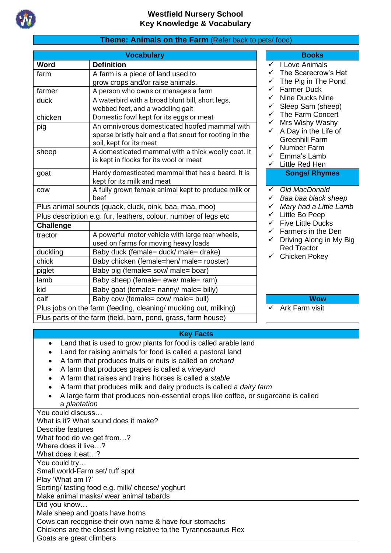

|                                                                 | <b>Vocabulary</b>                                               |              | <b>Books</b>                          |
|-----------------------------------------------------------------|-----------------------------------------------------------------|--------------|---------------------------------------|
| Word                                                            | <b>Definition</b>                                               | ✓            | I Love Animals                        |
| farm                                                            | A farm is a piece of land used to                               |              | The Scarecrow                         |
|                                                                 | grow crops and/or raise animals.                                | ✓            | The Pig in The                        |
| farmer                                                          | A person who owns or manages a farm                             |              | <b>Farmer Duck</b>                    |
| duck                                                            | A waterbird with a broad blunt bill, short legs,                |              | Nine Ducks Ni                         |
|                                                                 | webbed feet, and a waddling gait                                |              | Sleep Sam (sh                         |
| chicken                                                         | Domestic fowl kept for its eggs or meat                         | ✓<br>✓       | The Farm Con                          |
| pig                                                             | An omnivorous domesticated hoofed mammal with                   | ✓            | Mrs Wishy Wa<br>A Day in the Li       |
|                                                                 | sparse bristly hair and a flat snout for rooting in the         |              | <b>Greenhill Farm</b>                 |
|                                                                 | soil, kept for its meat                                         | ✓            | Number Farm                           |
| sheep                                                           | A domesticated mammal with a thick woolly coat. It              |              | Emma's Lamb                           |
|                                                                 | is kept in flocks for its wool or meat                          | $\checkmark$ | Little Red Hen                        |
| goat                                                            | Hardy domesticated mammal that has a beard. It is               |              | <b>Songs/ Rhyr</b>                    |
|                                                                 | kept for its milk and meat                                      |              |                                       |
| COW                                                             | A fully grown female animal kept to produce milk or             | ✓            | Old MacDonal                          |
|                                                                 | beef                                                            | ✓            | Baa baa black                         |
| Plus animal sounds (quack, cluck, oink, baa, maa, moo)          |                                                                 |              | Mary had a Lit                        |
| Plus description e.g. fur, feathers, colour, number of legs etc |                                                                 |              | Little Bo Peep                        |
| <b>Challenge</b>                                                |                                                                 | ✓            | <b>Five Little Ducl</b>               |
| tractor                                                         | A powerful motor vehicle with large rear wheels,                | ✓<br>✓       | Farmers in the                        |
|                                                                 | used on farms for moving heavy loads                            |              | Driving Along i<br><b>Red Tractor</b> |
| duckling                                                        | Baby duck (female= duck/ male= drake)                           |              | Chicken Pokey                         |
| chick                                                           | Baby chicken (female=hen/ male= rooster)                        |              |                                       |
| piglet                                                          | Baby pig (female= sow/ male= boar)                              |              |                                       |
| lamb                                                            | Baby sheep (female= ewe/ male= ram)                             |              |                                       |
| kid                                                             | Baby goat (female= nanny/ male= billy)                          |              |                                       |
| calf                                                            | Baby cow (female= cow/ male= bull)                              |              | <b>Wow</b>                            |
|                                                                 | Plus jobs on the farm (feeding, cleaning/ mucking out, milking) | $\checkmark$ | Ark Farm visit                        |
|                                                                 | Plus parts of the farm (field, barn, pond, grass, farm house)   |              |                                       |

# **Theme: Animals on the Farm** (Refer back to pets/ food)

|  |                      | V I Love Animals<br>V The Scarecrow's Ha<br>V The Pig in The Pone<br>V Farmer Duck<br>V Nine Ducks Nine<br>V Sleep Sam (sheep)<br>V The Farm Concert<br>V Mrs Wishy Washy<br>V A Day in the Life of |
|--|----------------------|-----------------------------------------------------------------------------------------------------------------------------------------------------------------------------------------------------|
|  |                      | The Scarecrow's Hat                                                                                                                                                                                 |
|  |                      | The Pig in The Pond                                                                                                                                                                                 |
|  |                      |                                                                                                                                                                                                     |
|  |                      |                                                                                                                                                                                                     |
|  |                      |                                                                                                                                                                                                     |
|  |                      |                                                                                                                                                                                                     |
|  |                      |                                                                                                                                                                                                     |
|  |                      |                                                                                                                                                                                                     |
|  |                      | <b>Greenhill Farm</b>                                                                                                                                                                               |
|  | $\frac{1}{\sqrt{2}}$ | <b>Number Farm</b>                                                                                                                                                                                  |
|  |                      | Emma's Lamb                                                                                                                                                                                         |
|  |                      | Little Red Hen                                                                                                                                                                                      |
|  |                      | <b>Songs/ Rhymes</b>                                                                                                                                                                                |
|  |                      |                                                                                                                                                                                                     |
|  |                      | Old MacDonald                                                                                                                                                                                       |
|  |                      |                                                                                                                                                                                                     |
|  |                      | Baa baa black sheep                                                                                                                                                                                 |
|  |                      | Mary had a Little Lamb                                                                                                                                                                              |
|  |                      | Little Bo Peep                                                                                                                                                                                      |
|  |                      | <b>Five Little Ducks</b>                                                                                                                                                                            |
|  |                      | Farmers in the Den                                                                                                                                                                                  |
|  | へくくへんへん              |                                                                                                                                                                                                     |
|  |                      | Driving Along in My Big<br><b>Red Tractor</b>                                                                                                                                                       |
|  |                      | Chicken Pokey                                                                                                                                                                                       |
|  |                      |                                                                                                                                                                                                     |
|  |                      |                                                                                                                                                                                                     |
|  |                      |                                                                                                                                                                                                     |
|  |                      |                                                                                                                                                                                                     |
|  |                      | <b>Wow</b>                                                                                                                                                                                          |
|  |                      | Ark Farm visit                                                                                                                                                                                      |

### **Key Facts**

- Land that is used to grow plants for food is called arable land
- Land for raising animals for food is called a pastoral land
- A farm that produces [fruits](https://kids.kiddle.co/Fruit) or [nuts](https://kids.kiddle.co/Nut_(fruit)) is called an *orchard*
- A farm that produces [grapes](https://kids.kiddle.co/Grape) is called a *vineyard*
- A farm that raises and trains [horses](https://kids.kiddle.co/Horse) is called a *stable*
- A farm that produces [milk](https://kids.kiddle.co/Milk) and dairy [products](https://kids.kiddle.co/Dairy_product) is called a *dairy farm*
- A large farm that produces non-essential crops like [coffee,](https://kids.kiddle.co/Coffee) or [sugarcane](https://kids.kiddle.co/Sugarcane) is called a *plantation*

| You could discuss                                                 |
|-------------------------------------------------------------------|
| What is it? What sound does it make?                              |
| Describe features                                                 |
| What food do we get from?                                         |
| Where does it live?                                               |
| What does it eat…?                                                |
| You could try                                                     |
| Small world-Farm set/ tuff spot                                   |
| Play 'What am I?'                                                 |
| Sorting/ tasting food e.g. milk/ cheese/ yoghurt                  |
| Make animal masks/ wear animal tabards                            |
| Did you know                                                      |
| Male sheep and goats have horns                                   |
| Cows can recognise their own name & have four stomachs            |
| Chickens are the closest living relative to the Tyrannosaurus Rex |
| Goats are great climbers                                          |
|                                                                   |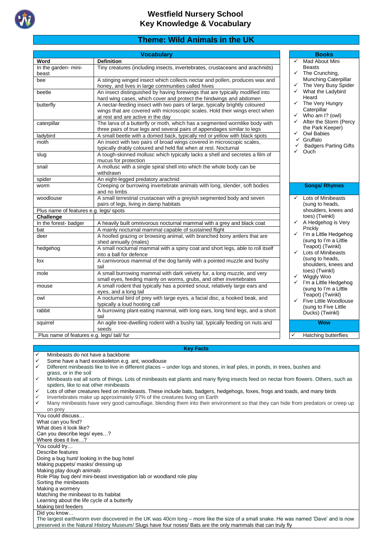

# **Theme: Wild Animals in the UK**

|                                            | <b>Vocabulary</b>                                                                                                |   | <b>Books</b>                                  |
|--------------------------------------------|------------------------------------------------------------------------------------------------------------------|---|-----------------------------------------------|
| Word                                       | <b>Definition</b>                                                                                                |   | Mad About Mini<br>$\checkmark$                |
| In the garden-mini-                        | Tiny creatures (including insects, invertebrates, crustaceans and arachnids)                                     |   | <b>Beasts</b>                                 |
| beast                                      |                                                                                                                  |   | The Crunching,<br>$\checkmark$                |
| bee                                        | A stinging winged insect which collects nectar and pollen, produces wax and                                      |   | Munching Caterpillar                          |
|                                            | honey, and lives in large communities called hives                                                               |   | The Very Busy Spider<br>$\checkmark$          |
| beetle                                     | An insect distinguished by having forewings that are typically modified into                                     |   | What the Ladybird<br>$\checkmark$<br>Heard    |
|                                            | hard wing cases, which cover and protect the hindwings and abdomen                                               |   | The Very Hungry<br>$\checkmark$               |
| butterfly                                  | A nectar-feeding insect with two pairs of large, typically brightly coloured                                     |   | Caterpillar                                   |
|                                            | wings that are covered with microscopic scales. Hold their wings erect when<br>at rest and are active in the day |   | $\checkmark$<br>Who am I? (owl)               |
| caterpillar                                | The larva of a butterfly or moth, which has a segmented wormlike body with                                       |   | After the Storm (Percy<br>$\checkmark$        |
|                                            | three pairs of true legs and several pairs of appendages similar to legs                                         |   | the Park Keeper)                              |
| ladybird                                   | A small beetle with a domed back, typically red or yellow with black spots                                       |   | Owl Babies<br>$\checkmark$                    |
| moth                                       | An insect with two pairs of broad wings covered in microscopic scales,                                           |   | Gruffalo                                      |
|                                            | typically drably coloured and held flat when at rest. Nocturnal                                                  |   | <b>Badgers Parting Gifts</b>                  |
| slug                                       | A tough-skinned mollusc which typically lacks a shell and secretes a film of                                     |   | Ouch                                          |
|                                            | mucus for protection                                                                                             |   |                                               |
| snail                                      | A mollusc with a single spiral shell into which the whole body can be                                            |   |                                               |
|                                            | withdrawn                                                                                                        |   |                                               |
| spider                                     | An eight-legged predatory arachnid                                                                               |   |                                               |
| worm                                       | Creeping or burrowing invertebrate animals with long, slender, soft bodies                                       |   | <b>Songs/ Rhymes</b>                          |
|                                            | and no limbs                                                                                                     |   |                                               |
| woodlouse                                  | A small terrestrial crustacean with a greyish segmented body and seven                                           |   | Lots of Minibeasts<br>$\checkmark$            |
|                                            | pairs of legs, living in damp habitats                                                                           |   | (sung to heads,                               |
| Plus name of features e.g. legs/ spots     |                                                                                                                  |   | shoulders, knees and                          |
| Challenge                                  |                                                                                                                  |   | toes) (Twinkl)                                |
| In the forest-badger                       | A heavily built omnivorous nocturnal mammal with a grey and black coat                                           |   | A Hedgehog is Very<br>$\checkmark$<br>Prickly |
| bat                                        | A mainly nocturnal mammal capable of sustained flight                                                            |   | $\checkmark$<br>I'm a Little Hedgehog         |
| deer                                       | A hoofed grazing or browsing animal, with branched bony antlers that are                                         |   | (sung to I'm a Little                         |
|                                            | shed annually (males)                                                                                            |   | Teapot) (Twinkl)                              |
| hedgehog                                   | A small nocturnal mammal with a spiny coat and short legs, able to roll itself<br>into a ball for defence        |   | Lots of Minibeasts<br>$\checkmark$            |
| fox                                        | A carnivorous mammal of the dog family with a pointed muzzle and bushy                                           |   | (sung to heads,                               |
|                                            | tail                                                                                                             |   | shoulders, knees and                          |
| mole                                       | A small burrowing mammal with dark velvety fur, a long muzzle, and very                                          |   | toes) (Twinkl)                                |
|                                            | small eyes, feeding mainly on worms, grubs, and other invertebrates                                              |   | $\checkmark$<br>Wiggly Woo                    |
| mouse                                      | A small rodent that typically has a pointed snout, relatively large ears and                                     |   | I'm a Little Hedgehog<br>$\checkmark$         |
|                                            | eyes, and a long tail                                                                                            |   | (sung to I'm a Little                         |
| owl                                        | A nocturnal bird of prey with large eyes, a facial disc, a hooked beak, and                                      |   | Teapot) (Twinkl)<br>Five Little Woodlouse     |
|                                            | typically a loud hooting call                                                                                    |   | (sung to Five Little                          |
| rabbit                                     | A burrowing plant-eating mammal, with long ears, long hind legs, and a short                                     |   | Ducks) (Twinkl)                               |
|                                            | tail                                                                                                             |   |                                               |
| squirrel                                   | An agile tree-dwelling rodent with a bushy tail, typically feeding on nuts and                                   |   | <b>Wow</b>                                    |
|                                            | seeds                                                                                                            |   |                                               |
| Plus name of features e.g. legs/ tail/ fur |                                                                                                                  | ✓ | Hatching butterflies                          |

#### **Key Facts**

Minibeasts do not have a backbone

✓ Some have a hard exoskeleton e.g. ant, woodlouse

✓ Different minibeasts like to live in different places – under logs and stones, in leaf piles, in ponds, in trees, bushes and grass, or in the soil

✓ Minibeasts eat all sorts of things. Lots of minibeasts eat plants and many flying insects feed on nectar from flowers. Others, such as spiders, like to eat other minibeasts

Lots of other creatures feed on minibeasts. These include bats, badgers, hedgehogs, foxes, frogs and toads, and many birds

Invertebrates make up approximately 97% of the creatures living on Earth

✓ Many minibeasts have very good camouflage, blending them into their environment so that they can hide from predators or creep up on prey

You could discuss… What can you find? What does it look like? Can you describe legs/ eyes…? Where does it live…? You could try... Describe features Doing a bug hunt/ looking in the bug hotel Making puppets/ masks/ dressing up Making play dough animals Role Play bug den/ mini-beast investigation lab or woodland role play Sorting the minibeasts Making a wormery Matching the minibeast to its habitat Learning about the life cycle of a butterfly Making bird feeders Did you know… The largest earthworm ever discovered in the UK was 40cm long – more like the size of a small snake. He was named 'Dave' and is now preserved in the Natural History Museum/ Slugs have four noses/ Bats are the only [mammals](https://kids.britannica.com/kids/article/mammal/353414) that can truly fly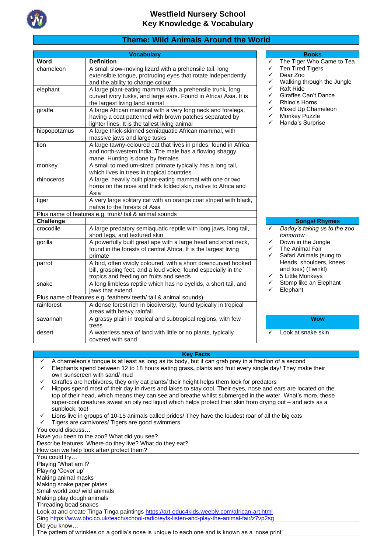

## **Theme: Wild Animals Around the World**

|                  | <b>Vocabulary</b>                                                 | <b>Books</b> |                              |  |
|------------------|-------------------------------------------------------------------|--------------|------------------------------|--|
| Word             | <b>Definition</b>                                                 | ✓            | The Tiger Who Came to Tea    |  |
| chameleon        | A small slow-moving lizard with a prehensile tail, long           | ✓            | <b>Ten Tired Tigers</b>      |  |
|                  | extensible tongue, protruding eyes that rotate independently,     | $\checkmark$ | Dear Zoo                     |  |
|                  | and the ability to change colour                                  | $\checkmark$ | Walking through the Jungle   |  |
| elephant         | A large plant-eating mammal with a prehensile trunk, long         | ✓            | <b>Raft Ride</b>             |  |
|                  | curved ivory tusks, and large ears. Found in Africa/ Asia. It is  | $\checkmark$ | <b>Giraffes Can't Dance</b>  |  |
|                  | the largest living land animal                                    | $\checkmark$ | Rhino's Horns                |  |
| giraffe          | A large African mammal with a very long neck and forelegs,        | $\checkmark$ | Mixed Up Chameleon           |  |
|                  | having a coat patterned with brown patches separated by           | ✓            | Monkey Puzzle                |  |
|                  | lighter lines. It is the tallest living animal                    | ✓            | Handa's Surprise             |  |
| hippopotamus     | A large thick-skinned semiaquatic African mammal, with            |              |                              |  |
|                  | massive jaws and large tusks                                      |              |                              |  |
| lion             | A large tawny-coloured cat that lives in prides, found in Africa  |              |                              |  |
|                  | and north-western India. The male has a flowing shaggy            |              |                              |  |
|                  | mane. Hunting is done by females                                  |              |                              |  |
| monkey           | A small to medium-sized primate typically has a long tail,        |              |                              |  |
|                  | which lives in trees in tropical countries                        |              |                              |  |
| rhinoceros       | A large, heavily built plant-eating mammal with one or two        |              |                              |  |
|                  | horns on the nose and thick folded skin, native to Africa and     |              |                              |  |
|                  | Asia                                                              |              |                              |  |
| tiger            | A very large solitary cat with an orange coat striped with black, |              |                              |  |
|                  | native to the forests of Asia                                     |              |                              |  |
|                  | Plus name of features e.g. trunk/ tail & animal sounds            |              |                              |  |
| <b>Challenge</b> |                                                                   |              | <b>Songs/ Rhymes</b>         |  |
| crocodile        | A large predatory semiaquatic reptile with long jaws, long tail,  | $\checkmark$ | Daddy's taking us to the zoo |  |
|                  | short legs, and textured skin                                     |              | tomorrow                     |  |
| gorilla          | A powerfully built great ape with a large head and short neck,    | $\checkmark$ | Down in the Jungle           |  |
|                  | found in the forests of central Africa. It is the largest living  | $\checkmark$ | The Animal Fair              |  |
|                  | primate                                                           | $\checkmark$ | Safari Animals (sung to      |  |
| parrot           | A bird, often vividly coloured, with a short downcurved hooked    |              | Heads, shoulders, knees      |  |
|                  | bill, grasping feet, and a loud voice, found especially in the    |              | and toes) (Twinkl)           |  |
|                  | tropics and feeding on fruits and seeds                           | $\checkmark$ | 5 Little Monkeys             |  |
| snake            | A long limbless reptile which has no eyelids, a short tail, and   | ✓            | Stomp like an Elephant       |  |
|                  | jaws that extend                                                  | ✓            | Elephant                     |  |
|                  | Plus name of features e.g. feathers/ teeth/ tail & animal sounds) |              |                              |  |
| rainforest       | A dense forest rich in biodiversity, found typically in tropical  |              |                              |  |
|                  | areas with heavy rainfall                                         |              |                              |  |
| savannah         | A grassy plain in tropical and subtropical regions, with few      |              | <b>Wow</b>                   |  |
|                  | trees                                                             |              |                              |  |
| desert           | A waterless area of land with little or no plants, typically      | ✓            | Look at snake skin           |  |
|                  | covered with sand                                                 |              |                              |  |

#### **Key Facts**

- $\checkmark$  A chameleon's tongue is at least as long as its body, but it can grab prey in a fraction of a second  $\checkmark$  Flephants spend hetween 12 to 18 hours eating grass plants and fruit every single day/ Thoy may ✓ Elephants spend between 12 to 18 hours eating grass**,** plants and fruit every single day/ They make their own sunscreen with sand/ mud
- Giraffes are herbivores, they only eat plants/ their height helps them look for predators
- Hippos spend most of their day in rivers and lakes to stay cool. Their eyes, nose and ears are located on the top of their head, which means they can see and breathe whilst submerged in the water. What's more, these super-cool creatures sweat an oily red liquid which helps protect their skin from drying out – and acts as a sunblock, too!
- ✓ Lions live in groups of 10-15 animals called prides/ They have the loudest roar of all the big cats
- Tigers are carnivores/ Tigers are good swimmers

You could discuss… Have you been to the zoo? What did you see? Describe features. Where do they live? What do they eat? How can we help look after/ protect them? You could try… Playing 'What am I?' Playing 'Cover up' Making animal masks Making snake paper plates Small world zoo/ wild animals Making play dough animals Threading bead snakes Look at and create Tinga Tinga painting[s https://art-educ4kids.weebly.com/african-art.html](https://art-educ4kids.weebly.com/african-art.html) Sin[g https://www.bbc.co.uk/teach/school-radio/eyfs-listen-and-play-the-animal-fair/z7vp2sg](https://www.bbc.co.uk/teach/school-radio/eyfs-listen-and-play-the-animal-fair/z7vp2sg) Did you know…

The pattern of wrinkles on a gorilla's nose is unique to each one and is known as a 'nose print'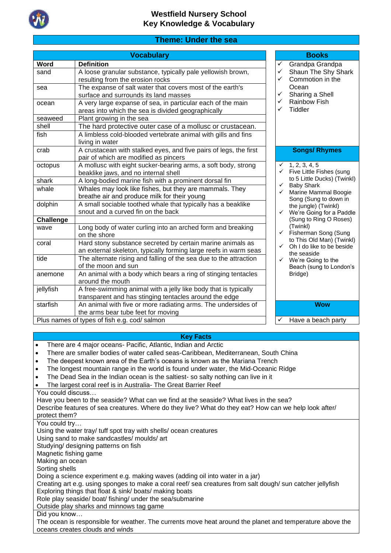

# **Theme: Under the sea**

**Vocabulary Books** 

| Word                  | <b>Definition</b>                                                                                          | ✓                            | Grandpa Grandpa                           |
|-----------------------|------------------------------------------------------------------------------------------------------------|------------------------------|-------------------------------------------|
| sand                  | A loose granular substance, typically pale yellowish brown,                                                | ✓                            | Shaun The Shy Shark                       |
|                       | resulting from the erosion rocks                                                                           | ✓                            | Commotion in the                          |
| sea                   | The expanse of salt water that covers most of the earth's                                                  |                              | Ocean                                     |
|                       | surface and surrounds its land masses                                                                      | ✓                            | Sharing a Shell                           |
| ocean                 | A very large expanse of sea, in particular each of the main                                                | ✓                            | Rainbow Fish                              |
|                       | areas into which the sea is divided geographically                                                         | ✓                            | Tiddler                                   |
| seaweed               | Plant growing in the sea                                                                                   |                              |                                           |
| shell                 | The hard protective outer case of a mollusc or crustacean.                                                 |                              |                                           |
| fish                  | A limbless cold-blooded vertebrate animal with gills and fins                                              |                              |                                           |
|                       | living in water                                                                                            |                              |                                           |
| crab                  | A crustacean with stalked eyes, and five pairs of legs, the first                                          |                              | <b>Songs/ Rhymes</b>                      |
|                       | pair of which are modified as pincers                                                                      |                              |                                           |
| octopus               | A mollusc with eight sucker-bearing arms, a soft body, strong                                              |                              | $\checkmark$ 1, 2, 3, 4, 5                |
|                       | beaklike jaws, and no internal shell                                                                       |                              | $\checkmark$ Five Little Fishes (sung     |
| shark                 | A long-bodied marine fish with a prominent dorsal fin                                                      |                              | to 5 Little Ducks) (Twinkl)               |
| whale                 | Whales may look like fishes, but they are mammals. They                                                    | $\checkmark$<br>$\checkmark$ | <b>Baby Shark</b><br>Marine Mammal Boogie |
|                       | breathe air and produce milk for their young                                                               |                              | Song (Sung to down in                     |
| dolphin               | A small sociable toothed whale that typically has a beaklike                                               |                              | the jungle) (Twinkl)                      |
|                       | snout and a curved fin on the back                                                                         |                              | $\checkmark$ We're Going for a Paddle     |
| <b>Challenge</b>      |                                                                                                            |                              | (Sung to Ring O Roses)                    |
| wave                  | Long body of water curling into an arched form and breaking                                                |                              | (Twinkl)                                  |
|                       | on the shore                                                                                               |                              | ← Fisherman Song (Sung                    |
| coral                 | Hard stony substance secreted by certain marine animals as                                                 | $\checkmark$                 | to This Old Man) (Twinkl)                 |
|                       | an external skeleton, typically forming large reefs in warm seas                                           |                              | Oh I do like to be beside<br>the seaside  |
| tide                  | The alternate rising and falling of the sea due to the attraction                                          |                              | $\checkmark$ We're Going to the           |
|                       | of the moon and sun                                                                                        |                              | Beach (sung to London's                   |
| anemone               | An animal with a body which bears a ring of stinging tentacles                                             |                              | Bridge)                                   |
|                       | around the mouth                                                                                           |                              |                                           |
| jellyfish             | A free-swimming animal with a jelly like body that is typically                                            |                              |                                           |
|                       | transparent and has stinging tentacles around the edge                                                     |                              |                                           |
| starfish              | An animal with five or more radiating arms. The undersides of                                              |                              | <b>Wow</b>                                |
|                       | the arms bear tube feet for moving                                                                         |                              |                                           |
|                       | Plus names of types of fish e.g. cod/ salmon                                                               | ✓                            | Have a beach party                        |
|                       |                                                                                                            |                              |                                           |
|                       | <b>Key Facts</b>                                                                                           |                              |                                           |
|                       | There are 4 major oceans- Pacific, Atlantic, Indian and Arctic                                             |                              |                                           |
|                       | There are smaller bodies of water called seas-Caribbean, Mediterranean, South China                        |                              |                                           |
| $\bullet$             | The deepest known area of the Earth's oceans is known as the Mariana Trench                                |                              |                                           |
| $\bullet$             | The longest mountain range in the world is found under water, the Mid-Oceanic Ridge                        |                              |                                           |
| $\bullet$             | The Dead Sea in the Indian ocean is the saltiest- so salty nothing can live in it                          |                              |                                           |
| $\bullet$             | The largest coral reef is in Australia- The Great Barrier Reef                                             |                              |                                           |
| You could discuss     |                                                                                                            |                              |                                           |
|                       | Have you been to the seaside? What can we find at the seaside? What lives in the sea?                      |                              |                                           |
|                       | Describe features of sea creatures. Where do they live? What do they eat? How can we help look after/      |                              |                                           |
| protect them?         |                                                                                                            |                              |                                           |
| You could try         |                                                                                                            |                              |                                           |
|                       | Using the water tray/ tuff spot tray with shells/ ocean creatures                                          |                              |                                           |
|                       | Using sand to make sandcastles/ moulds/ art                                                                |                              |                                           |
|                       | Studying/ designing patterns on fish                                                                       |                              |                                           |
| Magnetic fishing game |                                                                                                            |                              |                                           |
|                       |                                                                                                            |                              |                                           |
|                       |                                                                                                            |                              |                                           |
| Making an ocean       |                                                                                                            |                              |                                           |
| Sorting shells        |                                                                                                            |                              |                                           |
|                       | Doing a science experiment e.g. making waves (adding oil into water in a jar)                              |                              |                                           |
|                       | Creating art e.g. using sponges to make a coral reef/ sea creatures from salt dough/ sun catcher jellyfish |                              |                                           |
|                       | Exploring things that float & sink/boats/making boats                                                      |                              |                                           |
|                       | Role play seaside/ boat/ fishing/ under the sea/submarine<br>Outside play sharks and minnows tag game      |                              |                                           |

The ocean is responsible for weather. The currents move heat around the planet and temperature above the oceans creates clouds and winds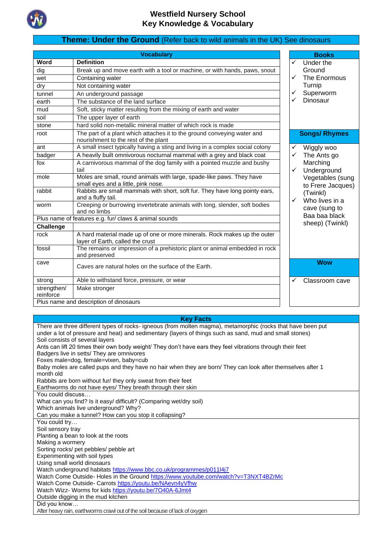

# **Theme: Under the Ground** (Refer back to wild animals in the UK) See dinosaurs

|                          | <b>Vocabulary</b>                                                                                               |              | <b>Books</b>               |
|--------------------------|-----------------------------------------------------------------------------------------------------------------|--------------|----------------------------|
| Word                     | <b>Definition</b>                                                                                               | ✓            | Under the                  |
| dig                      | Break up and move earth with a tool or machine, or with hands, paws, snout                                      |              | Ground                     |
| wet                      | Containing water                                                                                                | ✓            | The Enormous               |
| dry                      | Not containing water                                                                                            |              | Turnip                     |
| tunnel                   | An underground passage                                                                                          | ✓            | Superworm                  |
| earth                    | The substance of the land surface                                                                               | ✓            | Dinosaur                   |
| mud                      | Soft, sticky matter resulting from the mixing of earth and water                                                |              |                            |
| soil                     | The upper layer of earth                                                                                        |              |                            |
| stone                    | hard solid non-metallic mineral matter of which rock is made                                                    |              |                            |
| root                     | The part of a plant which attaches it to the ground conveying water and<br>nourishment to the rest of the plant |              | <b>Songs/ Rhymes</b>       |
| ant                      | A small insect typically having a sting and living in a complex social colony                                   | ✓            | Wiggly woo                 |
| badger                   | A heavily built omnivorous nocturnal mammal with a grey and black coat                                          | ✓            | The Ants go                |
| fox                      | A carnivorous mammal of the dog family with a pointed muzzle and bushy<br>tail                                  | ✓            | Marching<br>Underground    |
| mole                     | Moles are small, round animals with large, spade-like paws. They have                                           |              | Vegetables (sung           |
|                          | small eyes and a little, pink nose.                                                                             |              | to Frere Jacques)          |
| rabbit                   | Rabbits are small mammals with short, soft fur. They have long pointy ears,<br>and a fluffy tail.               | $\checkmark$ | (Twinkl)<br>Who lives in a |
| worm                     | Creeping or burrowing invertebrate animals with long, slender, soft bodies<br>and no limbs                      |              | cave (sung to              |
|                          | Plus name of features e.g. fur/ claws & animal sounds                                                           |              | Baa baa black              |
| <b>Challenge</b>         |                                                                                                                 |              | sheep) (Twinkl)            |
| rock                     | A hard material made up of one or more minerals. Rock makes up the outer<br>layer of Earth, called the crust    |              |                            |
| fossil                   | The remains or impression of a prehistoric plant or animal embedded in rock                                     |              |                            |
|                          | and preserved                                                                                                   |              |                            |
| cave                     | Caves are natural holes on the surface of the Earth.                                                            |              | <b>Wow</b>                 |
| strong                   | Able to withstand force, pressure, or wear                                                                      |              | Classroom cave             |
| strengthen/<br>reinforce | Make stronger                                                                                                   |              |                            |
|                          | Plus name and description of dinosaurs                                                                          |              |                            |

#### **Key Facts**

| There are three different types of rocks- igneous (from molten magma), metamorphic (rocks that have been put<br>under a lot of pressure and heat) and sedimentary (layers of things such as sand, mud and small stones) |
|-------------------------------------------------------------------------------------------------------------------------------------------------------------------------------------------------------------------------|
| Soil consists of several layers                                                                                                                                                                                         |
| Ants can lift 20 times their own body weight/ They don't have ears they feel vibrations through their feet                                                                                                              |
| Badgers live in setts/ They are omnivores                                                                                                                                                                               |
| Foxes male=dog, female=vixen, baby=cub<br>Baby moles are called pups and they have no hair when they are born/ They can look after themselves after 1                                                                   |
| month old                                                                                                                                                                                                               |
| Rabbits are born without fur/they only sweat from their feet                                                                                                                                                            |
| Earthworms do not have eyes/ They breath through their skin                                                                                                                                                             |
| You could discuss                                                                                                                                                                                                       |
| What can you find? Is it easy/ difficult? (Comparing wet/dry soil)                                                                                                                                                      |
| Which animals live underground? Why?                                                                                                                                                                                    |
| Can you make a tunnel? How can you stop it collapsing?                                                                                                                                                                  |
| You could try                                                                                                                                                                                                           |
| Soil sensory tray                                                                                                                                                                                                       |
| Planting a bean to look at the roots                                                                                                                                                                                    |
| Making a wormery                                                                                                                                                                                                        |
| Sorting rocks/ pet pebbles/ pebble art                                                                                                                                                                                  |
| Experimenting with soil types                                                                                                                                                                                           |
| Using small world dinosaurs                                                                                                                                                                                             |
| Watch underground habitats https://www.bbc.co.uk/programmes/p011l4j7                                                                                                                                                    |
| Watch Come Outside- Holes in the Ground https://www.youtube.com/watch?v=T3NXT4BZrMc                                                                                                                                     |
| Watch Come Outside- Carrots https://youtu.be/NAevn4yVfhw                                                                                                                                                                |
| Watch Wizz- Worms for kids https://youtu.be/7040A-6Jmt4                                                                                                                                                                 |
| Outside digging in the mud kitchen                                                                                                                                                                                      |
| Did you know                                                                                                                                                                                                            |
| After heavy rain, earthworms crawl out of the soil because of lack of oxygen                                                                                                                                            |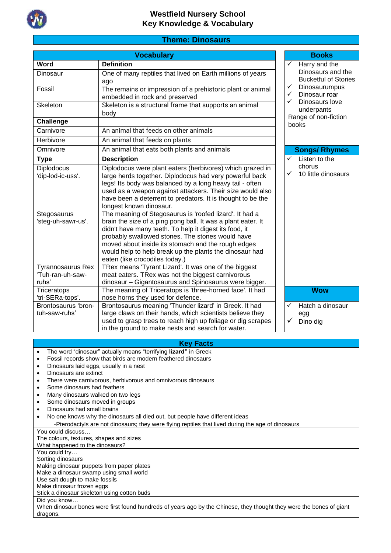

### **Theme: Dinosaurs**

|                                                                                                               | <b>Books</b>                                                                                                                                                                                                                                                                                                                                                                                                                                                                                                                                                                                                                                                                                                                                                                                                                                      |                                                           |  |
|---------------------------------------------------------------------------------------------------------------|---------------------------------------------------------------------------------------------------------------------------------------------------------------------------------------------------------------------------------------------------------------------------------------------------------------------------------------------------------------------------------------------------------------------------------------------------------------------------------------------------------------------------------------------------------------------------------------------------------------------------------------------------------------------------------------------------------------------------------------------------------------------------------------------------------------------------------------------------|-----------------------------------------------------------|--|
| <b>Word</b>                                                                                                   | <b>Definition</b>                                                                                                                                                                                                                                                                                                                                                                                                                                                                                                                                                                                                                                                                                                                                                                                                                                 | $\checkmark$<br>Harry and the                             |  |
| Dinosaur                                                                                                      | One of many reptiles that lived on Earth millions of years<br>ago                                                                                                                                                                                                                                                                                                                                                                                                                                                                                                                                                                                                                                                                                                                                                                                 | Dinosaurs and the<br><b>Bucketful of Stories</b>          |  |
| Fossil                                                                                                        | The remains or impression of a prehistoric plant or animal<br>embedded in rock and preserved                                                                                                                                                                                                                                                                                                                                                                                                                                                                                                                                                                                                                                                                                                                                                      | ✓<br>Dinosaurumpus<br>Dinosaur roar<br>$\checkmark$       |  |
| Skeleton                                                                                                      | Skeleton is a structural frame that supports an animal<br>body                                                                                                                                                                                                                                                                                                                                                                                                                                                                                                                                                                                                                                                                                                                                                                                    | Dinosaurs love<br>✓<br>underpants<br>Range of non-fiction |  |
| <b>Challenge</b>                                                                                              |                                                                                                                                                                                                                                                                                                                                                                                                                                                                                                                                                                                                                                                                                                                                                                                                                                                   | books                                                     |  |
| Carnivore                                                                                                     | An animal that feeds on other animals                                                                                                                                                                                                                                                                                                                                                                                                                                                                                                                                                                                                                                                                                                                                                                                                             |                                                           |  |
| Herbivore                                                                                                     | An animal that feeds on plants                                                                                                                                                                                                                                                                                                                                                                                                                                                                                                                                                                                                                                                                                                                                                                                                                    |                                                           |  |
| Omnivore                                                                                                      | An animal that eats both plants and animals                                                                                                                                                                                                                                                                                                                                                                                                                                                                                                                                                                                                                                                                                                                                                                                                       | <b>Songs/ Rhymes</b>                                      |  |
| <b>Type</b>                                                                                                   | <b>Description</b>                                                                                                                                                                                                                                                                                                                                                                                                                                                                                                                                                                                                                                                                                                                                                                                                                                | Listen to the<br>✓                                        |  |
| Diplodocus<br>'dip-lod-ic-uss'.<br>Stegosaurus<br>'steg-uh-sawr-us'.<br>Tyrannosaurus Rex<br>'Tuh-ran-uh-saw- | Diplodocus were plant eaters (herbivores) which grazed in<br>large herds together. Diplodocus had very powerful back<br>legs! Its body was balanced by a long heavy tail - often<br>used as a weapon against attackers. Their size would also<br>have been a deterrent to predators. It is thought to be the<br>longest known dinosaur.<br>The meaning of Stegosaurus is 'roofed lizard'. It had a<br>brain the size of a ping pong ball. It was a plant eater. It<br>didn't have many teeth. To help it digest its food, it<br>probably swallowed stones. The stones would have<br>moved about inside its stomach and the rough edges<br>would help to help break up the plants the dinosaur had<br>eaten (like crocodiles today.)<br>TRex means 'Tyrant Lizard'. It was one of the biggest<br>meat eaters. TRex was not the biggest carnivorous | chorus<br>$\checkmark$<br>10 little dinosaurs             |  |
| ruhs'<br>Triceratops                                                                                          | dinosaur - Gigantosaurus and Spinosaurus were bigger.<br>The meaning of Triceratops is 'three-horned face'. It had                                                                                                                                                                                                                                                                                                                                                                                                                                                                                                                                                                                                                                                                                                                                | <b>Wow</b>                                                |  |
| 'tri-SERa-tops'.                                                                                              | nose horns they used for defence.                                                                                                                                                                                                                                                                                                                                                                                                                                                                                                                                                                                                                                                                                                                                                                                                                 |                                                           |  |
| Brontosaurus 'bron-<br>tuh-saw-ruhs'                                                                          | Brontosaurus meaning 'Thunder lizard' in Greek. It had<br>large claws on their hands, which scientists believe they<br>used to grasp trees to reach high up foliage or dig scrapes<br>in the ground to make nests and search for water.                                                                                                                                                                                                                                                                                                                                                                                                                                                                                                                                                                                                           | Hatch a dinosaur<br>✓<br>egg<br>Dino dig<br>✓             |  |
|                                                                                                               |                                                                                                                                                                                                                                                                                                                                                                                                                                                                                                                                                                                                                                                                                                                                                                                                                                                   |                                                           |  |

#### **Key Facts**

- The word "dinosaur" actually means "terrifying **lizard"** in Greek
- Fossil records show that [birds](https://en.wikipedia.org/wiki/Bird) are modern [feathered dinosaurs](https://en.wikipedia.org/wiki/Feathered_dinosaur)
- Dinosaurs laid eggs, usually in a nest
- Dinosaurs are extinct
- There were carnivorous, herbivorous and omnivorous dinosaurs
- Some dinosaurs had feathers
- Many dinosaurs walked on two legs
- Some dinosaurs moved in groups
- Dinosaurs had small brains
- No one knows why the dinosaurs all died out, but people have different ideas

-Pterodactyls are not dinosaurs; they were flying reptiles that lived during the age of dinosaurs

You could discuss…

| The colours, textures, shapes and sizes                                                                              |
|----------------------------------------------------------------------------------------------------------------------|
| What happened to the dinosaurs?                                                                                      |
| You could try                                                                                                        |
| Sorting dinosaurs                                                                                                    |
| Making dinosaur puppets from paper plates                                                                            |
| Make a dinosaur swamp using small world                                                                              |
| Use salt dough to make fossils                                                                                       |
| Make dinosaur frozen eggs                                                                                            |
| Stick a dinosaur skeleton using cotton buds                                                                          |
| Did you know                                                                                                         |
| When dinosaur bones were first found hundreds of years ago by the Chinese, they thought they were the bones of giant |
| dragons.                                                                                                             |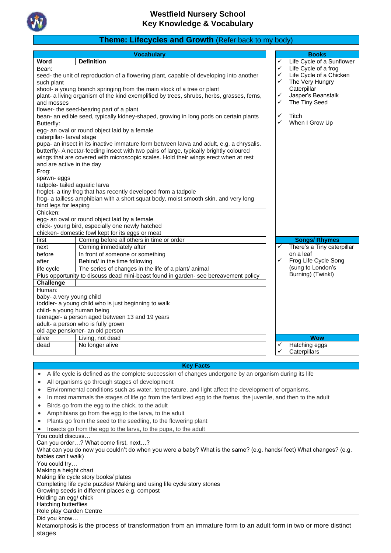

# **Theme: Lifecycles and Growth** (Refer back to my body)

| Word<br>✓<br>Life Cycle of a frog<br>Bean:<br>✓<br>Life Cycle of a Chicken<br>✓<br>seed- the unit of reproduction of a flowering plant, capable of developing into another<br>The Very Hungry<br>✓<br>such plant<br>Caterpillar<br>shoot- a young branch springing from the main stock of a tree or plant<br>Jasper's Beanstalk<br>plant- a living organism of the kind exemplified by trees, shrubs, herbs, grasses, ferns,<br>✓<br>The Tiny Seed<br>✓<br>and mosses<br>flower- the seed-bearing part of a plant<br>✓<br>Titch<br>bean- an edible seed, typically kidney-shaped, growing in long pods on certain plants<br>✓<br>When I Grow Up<br>Butterfly:<br>egg- an oval or round object laid by a female<br>caterpillar- larval stage<br>pupa- an insect in its inactive immature form between larva and adult, e.g. a chrysalis.<br>butterfly- A nectar-feeding insect with two pairs of large, typically brightly coloured<br>wings that are covered with microscopic scales. Hold their wings erect when at rest<br>and are active in the day<br>Frog:<br>spawn-eggs<br>tadpole- tailed aquatic larva<br>froglet- a tiny frog that has recently developed from a tadpole<br>frog- a tailless amphibian with a short squat body, moist smooth skin, and very long<br>hind legs for leaping<br>Chicken:<br>egg- an oval or round object laid by a female<br>chick- young bird, especially one newly hatched<br>chicken- domestic fowl kept for its eggs or meat<br>Coming before all others in time or order<br>first<br><b>Songs/ Rhymes</b><br>There's a Tiny caterpillar<br>Coming immediately after<br>✓<br>next<br>on a leaf<br>before<br>In front of someone or something<br>Frog Life Cycle Song<br>✓<br>after<br>Behind/ in the time following<br>(sung to London's<br>The series of changes in the life of a plant/ animal<br>life cycle<br>Burning) (Twinkl)<br>Plus opportunity to discuss dead mini-beast found in garden- see bereavement policy<br><b>Challenge</b><br>Human:<br>baby- a very young child<br>toddler- a young child who is just beginning to walk<br>child- a young human being<br>teenager- a person aged between 13 and 19 years<br>adult- a person who is fully grown<br>old age pensioner- an old person<br>alive<br>Living, not dead<br><b>Wow</b><br>Hatching eggs<br>dead<br>No longer alive<br>✓<br>Caterpillars<br><b>Key Facts</b><br>A life cycle is defined as the complete succession of changes undergone by an organism during its life<br>All organisms go through stages of development<br>Environmental conditions such as water, temperature, and light affect the development of organisms.<br>٠<br>In most mammals the stages of life go from the fertilized egg to the foetus, the juvenile, and then to the adult<br>٠<br>Birds go from the egg to the chick, to the adult<br>٠<br>Amphibians go from the egg to the larva, to the adult<br>$\bullet$<br>Plants go from the seed to the seedling, to the flowering plant<br>$\bullet$<br>Insects go from the egg to the larva, to the pupa, to the adult<br>You could discuss<br>Can you order? What come first, next?<br>What can you do now you couldn't do when you were a baby? What is the same? (e.g. hands/ feet) What changes? (e.g.<br>babies can't walk)<br>You could try<br>Making a height chart<br>Making life cycle story books/ plates<br>Completing life cycle puzzles/ Making and using life cycle story stones<br>Growing seeds in different places e.g. compost<br>Holding an egg/ chick<br>Hatching butterflies<br>Role play Garden Centre<br>Did you know<br>Metamorphosis is the process of transformation from an immature form to an adult form in two or more distinct<br>stages |  | <b>Vocabulary</b> |  | <b>Books</b>              |  |  |
|-----------------------------------------------------------------------------------------------------------------------------------------------------------------------------------------------------------------------------------------------------------------------------------------------------------------------------------------------------------------------------------------------------------------------------------------------------------------------------------------------------------------------------------------------------------------------------------------------------------------------------------------------------------------------------------------------------------------------------------------------------------------------------------------------------------------------------------------------------------------------------------------------------------------------------------------------------------------------------------------------------------------------------------------------------------------------------------------------------------------------------------------------------------------------------------------------------------------------------------------------------------------------------------------------------------------------------------------------------------------------------------------------------------------------------------------------------------------------------------------------------------------------------------------------------------------------------------------------------------------------------------------------------------------------------------------------------------------------------------------------------------------------------------------------------------------------------------------------------------------------------------------------------------------------------------------------------------------------------------------------------------------------------------------------------------------------------------------------------------------------------------------------------------------------------------------------------------------------------------------------------------------------------------------------------------------------------------------------------------------------------------------------------------------------------------------------------------------------------------------------------------------------------------------------------------------------------------------------------------------------------------------------------------------------------------------------------------------------------------------------------------------------------------------------------------------------------------------------------------------------------------------------------------------------------------------------------------------------------------------------------------------------------------------------------------------------------------------------------------------------------------------------------------------------------------------------------------------------------------------------------------------------------------------------------------------------------------------------------------------------------------------------------------------------------------------------------------------------------------------------------------------------------------------------------------------------------------------------------------------------------------------------------------------------------------------------------------------------|--|-------------------|--|---------------------------|--|--|
|                                                                                                                                                                                                                                                                                                                                                                                                                                                                                                                                                                                                                                                                                                                                                                                                                                                                                                                                                                                                                                                                                                                                                                                                                                                                                                                                                                                                                                                                                                                                                                                                                                                                                                                                                                                                                                                                                                                                                                                                                                                                                                                                                                                                                                                                                                                                                                                                                                                                                                                                                                                                                                                                                                                                                                                                                                                                                                                                                                                                                                                                                                                                                                                                                                                                                                                                                                                                                                                                                                                                                                                                                                                                                                                       |  | <b>Definition</b> |  | Life Cycle of a Sunflower |  |  |
|                                                                                                                                                                                                                                                                                                                                                                                                                                                                                                                                                                                                                                                                                                                                                                                                                                                                                                                                                                                                                                                                                                                                                                                                                                                                                                                                                                                                                                                                                                                                                                                                                                                                                                                                                                                                                                                                                                                                                                                                                                                                                                                                                                                                                                                                                                                                                                                                                                                                                                                                                                                                                                                                                                                                                                                                                                                                                                                                                                                                                                                                                                                                                                                                                                                                                                                                                                                                                                                                                                                                                                                                                                                                                                                       |  |                   |  |                           |  |  |
|                                                                                                                                                                                                                                                                                                                                                                                                                                                                                                                                                                                                                                                                                                                                                                                                                                                                                                                                                                                                                                                                                                                                                                                                                                                                                                                                                                                                                                                                                                                                                                                                                                                                                                                                                                                                                                                                                                                                                                                                                                                                                                                                                                                                                                                                                                                                                                                                                                                                                                                                                                                                                                                                                                                                                                                                                                                                                                                                                                                                                                                                                                                                                                                                                                                                                                                                                                                                                                                                                                                                                                                                                                                                                                                       |  |                   |  |                           |  |  |
|                                                                                                                                                                                                                                                                                                                                                                                                                                                                                                                                                                                                                                                                                                                                                                                                                                                                                                                                                                                                                                                                                                                                                                                                                                                                                                                                                                                                                                                                                                                                                                                                                                                                                                                                                                                                                                                                                                                                                                                                                                                                                                                                                                                                                                                                                                                                                                                                                                                                                                                                                                                                                                                                                                                                                                                                                                                                                                                                                                                                                                                                                                                                                                                                                                                                                                                                                                                                                                                                                                                                                                                                                                                                                                                       |  |                   |  |                           |  |  |
|                                                                                                                                                                                                                                                                                                                                                                                                                                                                                                                                                                                                                                                                                                                                                                                                                                                                                                                                                                                                                                                                                                                                                                                                                                                                                                                                                                                                                                                                                                                                                                                                                                                                                                                                                                                                                                                                                                                                                                                                                                                                                                                                                                                                                                                                                                                                                                                                                                                                                                                                                                                                                                                                                                                                                                                                                                                                                                                                                                                                                                                                                                                                                                                                                                                                                                                                                                                                                                                                                                                                                                                                                                                                                                                       |  |                   |  |                           |  |  |
|                                                                                                                                                                                                                                                                                                                                                                                                                                                                                                                                                                                                                                                                                                                                                                                                                                                                                                                                                                                                                                                                                                                                                                                                                                                                                                                                                                                                                                                                                                                                                                                                                                                                                                                                                                                                                                                                                                                                                                                                                                                                                                                                                                                                                                                                                                                                                                                                                                                                                                                                                                                                                                                                                                                                                                                                                                                                                                                                                                                                                                                                                                                                                                                                                                                                                                                                                                                                                                                                                                                                                                                                                                                                                                                       |  |                   |  |                           |  |  |
|                                                                                                                                                                                                                                                                                                                                                                                                                                                                                                                                                                                                                                                                                                                                                                                                                                                                                                                                                                                                                                                                                                                                                                                                                                                                                                                                                                                                                                                                                                                                                                                                                                                                                                                                                                                                                                                                                                                                                                                                                                                                                                                                                                                                                                                                                                                                                                                                                                                                                                                                                                                                                                                                                                                                                                                                                                                                                                                                                                                                                                                                                                                                                                                                                                                                                                                                                                                                                                                                                                                                                                                                                                                                                                                       |  |                   |  |                           |  |  |
|                                                                                                                                                                                                                                                                                                                                                                                                                                                                                                                                                                                                                                                                                                                                                                                                                                                                                                                                                                                                                                                                                                                                                                                                                                                                                                                                                                                                                                                                                                                                                                                                                                                                                                                                                                                                                                                                                                                                                                                                                                                                                                                                                                                                                                                                                                                                                                                                                                                                                                                                                                                                                                                                                                                                                                                                                                                                                                                                                                                                                                                                                                                                                                                                                                                                                                                                                                                                                                                                                                                                                                                                                                                                                                                       |  |                   |  |                           |  |  |
|                                                                                                                                                                                                                                                                                                                                                                                                                                                                                                                                                                                                                                                                                                                                                                                                                                                                                                                                                                                                                                                                                                                                                                                                                                                                                                                                                                                                                                                                                                                                                                                                                                                                                                                                                                                                                                                                                                                                                                                                                                                                                                                                                                                                                                                                                                                                                                                                                                                                                                                                                                                                                                                                                                                                                                                                                                                                                                                                                                                                                                                                                                                                                                                                                                                                                                                                                                                                                                                                                                                                                                                                                                                                                                                       |  |                   |  |                           |  |  |
|                                                                                                                                                                                                                                                                                                                                                                                                                                                                                                                                                                                                                                                                                                                                                                                                                                                                                                                                                                                                                                                                                                                                                                                                                                                                                                                                                                                                                                                                                                                                                                                                                                                                                                                                                                                                                                                                                                                                                                                                                                                                                                                                                                                                                                                                                                                                                                                                                                                                                                                                                                                                                                                                                                                                                                                                                                                                                                                                                                                                                                                                                                                                                                                                                                                                                                                                                                                                                                                                                                                                                                                                                                                                                                                       |  |                   |  |                           |  |  |
|                                                                                                                                                                                                                                                                                                                                                                                                                                                                                                                                                                                                                                                                                                                                                                                                                                                                                                                                                                                                                                                                                                                                                                                                                                                                                                                                                                                                                                                                                                                                                                                                                                                                                                                                                                                                                                                                                                                                                                                                                                                                                                                                                                                                                                                                                                                                                                                                                                                                                                                                                                                                                                                                                                                                                                                                                                                                                                                                                                                                                                                                                                                                                                                                                                                                                                                                                                                                                                                                                                                                                                                                                                                                                                                       |  |                   |  |                           |  |  |
|                                                                                                                                                                                                                                                                                                                                                                                                                                                                                                                                                                                                                                                                                                                                                                                                                                                                                                                                                                                                                                                                                                                                                                                                                                                                                                                                                                                                                                                                                                                                                                                                                                                                                                                                                                                                                                                                                                                                                                                                                                                                                                                                                                                                                                                                                                                                                                                                                                                                                                                                                                                                                                                                                                                                                                                                                                                                                                                                                                                                                                                                                                                                                                                                                                                                                                                                                                                                                                                                                                                                                                                                                                                                                                                       |  |                   |  |                           |  |  |
|                                                                                                                                                                                                                                                                                                                                                                                                                                                                                                                                                                                                                                                                                                                                                                                                                                                                                                                                                                                                                                                                                                                                                                                                                                                                                                                                                                                                                                                                                                                                                                                                                                                                                                                                                                                                                                                                                                                                                                                                                                                                                                                                                                                                                                                                                                                                                                                                                                                                                                                                                                                                                                                                                                                                                                                                                                                                                                                                                                                                                                                                                                                                                                                                                                                                                                                                                                                                                                                                                                                                                                                                                                                                                                                       |  |                   |  |                           |  |  |
|                                                                                                                                                                                                                                                                                                                                                                                                                                                                                                                                                                                                                                                                                                                                                                                                                                                                                                                                                                                                                                                                                                                                                                                                                                                                                                                                                                                                                                                                                                                                                                                                                                                                                                                                                                                                                                                                                                                                                                                                                                                                                                                                                                                                                                                                                                                                                                                                                                                                                                                                                                                                                                                                                                                                                                                                                                                                                                                                                                                                                                                                                                                                                                                                                                                                                                                                                                                                                                                                                                                                                                                                                                                                                                                       |  |                   |  |                           |  |  |
|                                                                                                                                                                                                                                                                                                                                                                                                                                                                                                                                                                                                                                                                                                                                                                                                                                                                                                                                                                                                                                                                                                                                                                                                                                                                                                                                                                                                                                                                                                                                                                                                                                                                                                                                                                                                                                                                                                                                                                                                                                                                                                                                                                                                                                                                                                                                                                                                                                                                                                                                                                                                                                                                                                                                                                                                                                                                                                                                                                                                                                                                                                                                                                                                                                                                                                                                                                                                                                                                                                                                                                                                                                                                                                                       |  |                   |  |                           |  |  |
|                                                                                                                                                                                                                                                                                                                                                                                                                                                                                                                                                                                                                                                                                                                                                                                                                                                                                                                                                                                                                                                                                                                                                                                                                                                                                                                                                                                                                                                                                                                                                                                                                                                                                                                                                                                                                                                                                                                                                                                                                                                                                                                                                                                                                                                                                                                                                                                                                                                                                                                                                                                                                                                                                                                                                                                                                                                                                                                                                                                                                                                                                                                                                                                                                                                                                                                                                                                                                                                                                                                                                                                                                                                                                                                       |  |                   |  |                           |  |  |
|                                                                                                                                                                                                                                                                                                                                                                                                                                                                                                                                                                                                                                                                                                                                                                                                                                                                                                                                                                                                                                                                                                                                                                                                                                                                                                                                                                                                                                                                                                                                                                                                                                                                                                                                                                                                                                                                                                                                                                                                                                                                                                                                                                                                                                                                                                                                                                                                                                                                                                                                                                                                                                                                                                                                                                                                                                                                                                                                                                                                                                                                                                                                                                                                                                                                                                                                                                                                                                                                                                                                                                                                                                                                                                                       |  |                   |  |                           |  |  |
|                                                                                                                                                                                                                                                                                                                                                                                                                                                                                                                                                                                                                                                                                                                                                                                                                                                                                                                                                                                                                                                                                                                                                                                                                                                                                                                                                                                                                                                                                                                                                                                                                                                                                                                                                                                                                                                                                                                                                                                                                                                                                                                                                                                                                                                                                                                                                                                                                                                                                                                                                                                                                                                                                                                                                                                                                                                                                                                                                                                                                                                                                                                                                                                                                                                                                                                                                                                                                                                                                                                                                                                                                                                                                                                       |  |                   |  |                           |  |  |
|                                                                                                                                                                                                                                                                                                                                                                                                                                                                                                                                                                                                                                                                                                                                                                                                                                                                                                                                                                                                                                                                                                                                                                                                                                                                                                                                                                                                                                                                                                                                                                                                                                                                                                                                                                                                                                                                                                                                                                                                                                                                                                                                                                                                                                                                                                                                                                                                                                                                                                                                                                                                                                                                                                                                                                                                                                                                                                                                                                                                                                                                                                                                                                                                                                                                                                                                                                                                                                                                                                                                                                                                                                                                                                                       |  |                   |  |                           |  |  |
|                                                                                                                                                                                                                                                                                                                                                                                                                                                                                                                                                                                                                                                                                                                                                                                                                                                                                                                                                                                                                                                                                                                                                                                                                                                                                                                                                                                                                                                                                                                                                                                                                                                                                                                                                                                                                                                                                                                                                                                                                                                                                                                                                                                                                                                                                                                                                                                                                                                                                                                                                                                                                                                                                                                                                                                                                                                                                                                                                                                                                                                                                                                                                                                                                                                                                                                                                                                                                                                                                                                                                                                                                                                                                                                       |  |                   |  |                           |  |  |
|                                                                                                                                                                                                                                                                                                                                                                                                                                                                                                                                                                                                                                                                                                                                                                                                                                                                                                                                                                                                                                                                                                                                                                                                                                                                                                                                                                                                                                                                                                                                                                                                                                                                                                                                                                                                                                                                                                                                                                                                                                                                                                                                                                                                                                                                                                                                                                                                                                                                                                                                                                                                                                                                                                                                                                                                                                                                                                                                                                                                                                                                                                                                                                                                                                                                                                                                                                                                                                                                                                                                                                                                                                                                                                                       |  |                   |  |                           |  |  |
|                                                                                                                                                                                                                                                                                                                                                                                                                                                                                                                                                                                                                                                                                                                                                                                                                                                                                                                                                                                                                                                                                                                                                                                                                                                                                                                                                                                                                                                                                                                                                                                                                                                                                                                                                                                                                                                                                                                                                                                                                                                                                                                                                                                                                                                                                                                                                                                                                                                                                                                                                                                                                                                                                                                                                                                                                                                                                                                                                                                                                                                                                                                                                                                                                                                                                                                                                                                                                                                                                                                                                                                                                                                                                                                       |  |                   |  |                           |  |  |
|                                                                                                                                                                                                                                                                                                                                                                                                                                                                                                                                                                                                                                                                                                                                                                                                                                                                                                                                                                                                                                                                                                                                                                                                                                                                                                                                                                                                                                                                                                                                                                                                                                                                                                                                                                                                                                                                                                                                                                                                                                                                                                                                                                                                                                                                                                                                                                                                                                                                                                                                                                                                                                                                                                                                                                                                                                                                                                                                                                                                                                                                                                                                                                                                                                                                                                                                                                                                                                                                                                                                                                                                                                                                                                                       |  |                   |  |                           |  |  |
|                                                                                                                                                                                                                                                                                                                                                                                                                                                                                                                                                                                                                                                                                                                                                                                                                                                                                                                                                                                                                                                                                                                                                                                                                                                                                                                                                                                                                                                                                                                                                                                                                                                                                                                                                                                                                                                                                                                                                                                                                                                                                                                                                                                                                                                                                                                                                                                                                                                                                                                                                                                                                                                                                                                                                                                                                                                                                                                                                                                                                                                                                                                                                                                                                                                                                                                                                                                                                                                                                                                                                                                                                                                                                                                       |  |                   |  |                           |  |  |
|                                                                                                                                                                                                                                                                                                                                                                                                                                                                                                                                                                                                                                                                                                                                                                                                                                                                                                                                                                                                                                                                                                                                                                                                                                                                                                                                                                                                                                                                                                                                                                                                                                                                                                                                                                                                                                                                                                                                                                                                                                                                                                                                                                                                                                                                                                                                                                                                                                                                                                                                                                                                                                                                                                                                                                                                                                                                                                                                                                                                                                                                                                                                                                                                                                                                                                                                                                                                                                                                                                                                                                                                                                                                                                                       |  |                   |  |                           |  |  |
|                                                                                                                                                                                                                                                                                                                                                                                                                                                                                                                                                                                                                                                                                                                                                                                                                                                                                                                                                                                                                                                                                                                                                                                                                                                                                                                                                                                                                                                                                                                                                                                                                                                                                                                                                                                                                                                                                                                                                                                                                                                                                                                                                                                                                                                                                                                                                                                                                                                                                                                                                                                                                                                                                                                                                                                                                                                                                                                                                                                                                                                                                                                                                                                                                                                                                                                                                                                                                                                                                                                                                                                                                                                                                                                       |  |                   |  |                           |  |  |
|                                                                                                                                                                                                                                                                                                                                                                                                                                                                                                                                                                                                                                                                                                                                                                                                                                                                                                                                                                                                                                                                                                                                                                                                                                                                                                                                                                                                                                                                                                                                                                                                                                                                                                                                                                                                                                                                                                                                                                                                                                                                                                                                                                                                                                                                                                                                                                                                                                                                                                                                                                                                                                                                                                                                                                                                                                                                                                                                                                                                                                                                                                                                                                                                                                                                                                                                                                                                                                                                                                                                                                                                                                                                                                                       |  |                   |  |                           |  |  |
|                                                                                                                                                                                                                                                                                                                                                                                                                                                                                                                                                                                                                                                                                                                                                                                                                                                                                                                                                                                                                                                                                                                                                                                                                                                                                                                                                                                                                                                                                                                                                                                                                                                                                                                                                                                                                                                                                                                                                                                                                                                                                                                                                                                                                                                                                                                                                                                                                                                                                                                                                                                                                                                                                                                                                                                                                                                                                                                                                                                                                                                                                                                                                                                                                                                                                                                                                                                                                                                                                                                                                                                                                                                                                                                       |  |                   |  |                           |  |  |
|                                                                                                                                                                                                                                                                                                                                                                                                                                                                                                                                                                                                                                                                                                                                                                                                                                                                                                                                                                                                                                                                                                                                                                                                                                                                                                                                                                                                                                                                                                                                                                                                                                                                                                                                                                                                                                                                                                                                                                                                                                                                                                                                                                                                                                                                                                                                                                                                                                                                                                                                                                                                                                                                                                                                                                                                                                                                                                                                                                                                                                                                                                                                                                                                                                                                                                                                                                                                                                                                                                                                                                                                                                                                                                                       |  |                   |  |                           |  |  |
|                                                                                                                                                                                                                                                                                                                                                                                                                                                                                                                                                                                                                                                                                                                                                                                                                                                                                                                                                                                                                                                                                                                                                                                                                                                                                                                                                                                                                                                                                                                                                                                                                                                                                                                                                                                                                                                                                                                                                                                                                                                                                                                                                                                                                                                                                                                                                                                                                                                                                                                                                                                                                                                                                                                                                                                                                                                                                                                                                                                                                                                                                                                                                                                                                                                                                                                                                                                                                                                                                                                                                                                                                                                                                                                       |  |                   |  |                           |  |  |
|                                                                                                                                                                                                                                                                                                                                                                                                                                                                                                                                                                                                                                                                                                                                                                                                                                                                                                                                                                                                                                                                                                                                                                                                                                                                                                                                                                                                                                                                                                                                                                                                                                                                                                                                                                                                                                                                                                                                                                                                                                                                                                                                                                                                                                                                                                                                                                                                                                                                                                                                                                                                                                                                                                                                                                                                                                                                                                                                                                                                                                                                                                                                                                                                                                                                                                                                                                                                                                                                                                                                                                                                                                                                                                                       |  |                   |  |                           |  |  |
|                                                                                                                                                                                                                                                                                                                                                                                                                                                                                                                                                                                                                                                                                                                                                                                                                                                                                                                                                                                                                                                                                                                                                                                                                                                                                                                                                                                                                                                                                                                                                                                                                                                                                                                                                                                                                                                                                                                                                                                                                                                                                                                                                                                                                                                                                                                                                                                                                                                                                                                                                                                                                                                                                                                                                                                                                                                                                                                                                                                                                                                                                                                                                                                                                                                                                                                                                                                                                                                                                                                                                                                                                                                                                                                       |  |                   |  |                           |  |  |
|                                                                                                                                                                                                                                                                                                                                                                                                                                                                                                                                                                                                                                                                                                                                                                                                                                                                                                                                                                                                                                                                                                                                                                                                                                                                                                                                                                                                                                                                                                                                                                                                                                                                                                                                                                                                                                                                                                                                                                                                                                                                                                                                                                                                                                                                                                                                                                                                                                                                                                                                                                                                                                                                                                                                                                                                                                                                                                                                                                                                                                                                                                                                                                                                                                                                                                                                                                                                                                                                                                                                                                                                                                                                                                                       |  |                   |  |                           |  |  |
|                                                                                                                                                                                                                                                                                                                                                                                                                                                                                                                                                                                                                                                                                                                                                                                                                                                                                                                                                                                                                                                                                                                                                                                                                                                                                                                                                                                                                                                                                                                                                                                                                                                                                                                                                                                                                                                                                                                                                                                                                                                                                                                                                                                                                                                                                                                                                                                                                                                                                                                                                                                                                                                                                                                                                                                                                                                                                                                                                                                                                                                                                                                                                                                                                                                                                                                                                                                                                                                                                                                                                                                                                                                                                                                       |  |                   |  |                           |  |  |
|                                                                                                                                                                                                                                                                                                                                                                                                                                                                                                                                                                                                                                                                                                                                                                                                                                                                                                                                                                                                                                                                                                                                                                                                                                                                                                                                                                                                                                                                                                                                                                                                                                                                                                                                                                                                                                                                                                                                                                                                                                                                                                                                                                                                                                                                                                                                                                                                                                                                                                                                                                                                                                                                                                                                                                                                                                                                                                                                                                                                                                                                                                                                                                                                                                                                                                                                                                                                                                                                                                                                                                                                                                                                                                                       |  |                   |  |                           |  |  |
|                                                                                                                                                                                                                                                                                                                                                                                                                                                                                                                                                                                                                                                                                                                                                                                                                                                                                                                                                                                                                                                                                                                                                                                                                                                                                                                                                                                                                                                                                                                                                                                                                                                                                                                                                                                                                                                                                                                                                                                                                                                                                                                                                                                                                                                                                                                                                                                                                                                                                                                                                                                                                                                                                                                                                                                                                                                                                                                                                                                                                                                                                                                                                                                                                                                                                                                                                                                                                                                                                                                                                                                                                                                                                                                       |  |                   |  |                           |  |  |
|                                                                                                                                                                                                                                                                                                                                                                                                                                                                                                                                                                                                                                                                                                                                                                                                                                                                                                                                                                                                                                                                                                                                                                                                                                                                                                                                                                                                                                                                                                                                                                                                                                                                                                                                                                                                                                                                                                                                                                                                                                                                                                                                                                                                                                                                                                                                                                                                                                                                                                                                                                                                                                                                                                                                                                                                                                                                                                                                                                                                                                                                                                                                                                                                                                                                                                                                                                                                                                                                                                                                                                                                                                                                                                                       |  |                   |  |                           |  |  |
|                                                                                                                                                                                                                                                                                                                                                                                                                                                                                                                                                                                                                                                                                                                                                                                                                                                                                                                                                                                                                                                                                                                                                                                                                                                                                                                                                                                                                                                                                                                                                                                                                                                                                                                                                                                                                                                                                                                                                                                                                                                                                                                                                                                                                                                                                                                                                                                                                                                                                                                                                                                                                                                                                                                                                                                                                                                                                                                                                                                                                                                                                                                                                                                                                                                                                                                                                                                                                                                                                                                                                                                                                                                                                                                       |  |                   |  |                           |  |  |
|                                                                                                                                                                                                                                                                                                                                                                                                                                                                                                                                                                                                                                                                                                                                                                                                                                                                                                                                                                                                                                                                                                                                                                                                                                                                                                                                                                                                                                                                                                                                                                                                                                                                                                                                                                                                                                                                                                                                                                                                                                                                                                                                                                                                                                                                                                                                                                                                                                                                                                                                                                                                                                                                                                                                                                                                                                                                                                                                                                                                                                                                                                                                                                                                                                                                                                                                                                                                                                                                                                                                                                                                                                                                                                                       |  |                   |  |                           |  |  |
|                                                                                                                                                                                                                                                                                                                                                                                                                                                                                                                                                                                                                                                                                                                                                                                                                                                                                                                                                                                                                                                                                                                                                                                                                                                                                                                                                                                                                                                                                                                                                                                                                                                                                                                                                                                                                                                                                                                                                                                                                                                                                                                                                                                                                                                                                                                                                                                                                                                                                                                                                                                                                                                                                                                                                                                                                                                                                                                                                                                                                                                                                                                                                                                                                                                                                                                                                                                                                                                                                                                                                                                                                                                                                                                       |  |                   |  |                           |  |  |
|                                                                                                                                                                                                                                                                                                                                                                                                                                                                                                                                                                                                                                                                                                                                                                                                                                                                                                                                                                                                                                                                                                                                                                                                                                                                                                                                                                                                                                                                                                                                                                                                                                                                                                                                                                                                                                                                                                                                                                                                                                                                                                                                                                                                                                                                                                                                                                                                                                                                                                                                                                                                                                                                                                                                                                                                                                                                                                                                                                                                                                                                                                                                                                                                                                                                                                                                                                                                                                                                                                                                                                                                                                                                                                                       |  |                   |  |                           |  |  |
|                                                                                                                                                                                                                                                                                                                                                                                                                                                                                                                                                                                                                                                                                                                                                                                                                                                                                                                                                                                                                                                                                                                                                                                                                                                                                                                                                                                                                                                                                                                                                                                                                                                                                                                                                                                                                                                                                                                                                                                                                                                                                                                                                                                                                                                                                                                                                                                                                                                                                                                                                                                                                                                                                                                                                                                                                                                                                                                                                                                                                                                                                                                                                                                                                                                                                                                                                                                                                                                                                                                                                                                                                                                                                                                       |  |                   |  |                           |  |  |
|                                                                                                                                                                                                                                                                                                                                                                                                                                                                                                                                                                                                                                                                                                                                                                                                                                                                                                                                                                                                                                                                                                                                                                                                                                                                                                                                                                                                                                                                                                                                                                                                                                                                                                                                                                                                                                                                                                                                                                                                                                                                                                                                                                                                                                                                                                                                                                                                                                                                                                                                                                                                                                                                                                                                                                                                                                                                                                                                                                                                                                                                                                                                                                                                                                                                                                                                                                                                                                                                                                                                                                                                                                                                                                                       |  |                   |  |                           |  |  |
|                                                                                                                                                                                                                                                                                                                                                                                                                                                                                                                                                                                                                                                                                                                                                                                                                                                                                                                                                                                                                                                                                                                                                                                                                                                                                                                                                                                                                                                                                                                                                                                                                                                                                                                                                                                                                                                                                                                                                                                                                                                                                                                                                                                                                                                                                                                                                                                                                                                                                                                                                                                                                                                                                                                                                                                                                                                                                                                                                                                                                                                                                                                                                                                                                                                                                                                                                                                                                                                                                                                                                                                                                                                                                                                       |  |                   |  |                           |  |  |
|                                                                                                                                                                                                                                                                                                                                                                                                                                                                                                                                                                                                                                                                                                                                                                                                                                                                                                                                                                                                                                                                                                                                                                                                                                                                                                                                                                                                                                                                                                                                                                                                                                                                                                                                                                                                                                                                                                                                                                                                                                                                                                                                                                                                                                                                                                                                                                                                                                                                                                                                                                                                                                                                                                                                                                                                                                                                                                                                                                                                                                                                                                                                                                                                                                                                                                                                                                                                                                                                                                                                                                                                                                                                                                                       |  |                   |  |                           |  |  |
|                                                                                                                                                                                                                                                                                                                                                                                                                                                                                                                                                                                                                                                                                                                                                                                                                                                                                                                                                                                                                                                                                                                                                                                                                                                                                                                                                                                                                                                                                                                                                                                                                                                                                                                                                                                                                                                                                                                                                                                                                                                                                                                                                                                                                                                                                                                                                                                                                                                                                                                                                                                                                                                                                                                                                                                                                                                                                                                                                                                                                                                                                                                                                                                                                                                                                                                                                                                                                                                                                                                                                                                                                                                                                                                       |  |                   |  |                           |  |  |
|                                                                                                                                                                                                                                                                                                                                                                                                                                                                                                                                                                                                                                                                                                                                                                                                                                                                                                                                                                                                                                                                                                                                                                                                                                                                                                                                                                                                                                                                                                                                                                                                                                                                                                                                                                                                                                                                                                                                                                                                                                                                                                                                                                                                                                                                                                                                                                                                                                                                                                                                                                                                                                                                                                                                                                                                                                                                                                                                                                                                                                                                                                                                                                                                                                                                                                                                                                                                                                                                                                                                                                                                                                                                                                                       |  |                   |  |                           |  |  |
|                                                                                                                                                                                                                                                                                                                                                                                                                                                                                                                                                                                                                                                                                                                                                                                                                                                                                                                                                                                                                                                                                                                                                                                                                                                                                                                                                                                                                                                                                                                                                                                                                                                                                                                                                                                                                                                                                                                                                                                                                                                                                                                                                                                                                                                                                                                                                                                                                                                                                                                                                                                                                                                                                                                                                                                                                                                                                                                                                                                                                                                                                                                                                                                                                                                                                                                                                                                                                                                                                                                                                                                                                                                                                                                       |  |                   |  |                           |  |  |
|                                                                                                                                                                                                                                                                                                                                                                                                                                                                                                                                                                                                                                                                                                                                                                                                                                                                                                                                                                                                                                                                                                                                                                                                                                                                                                                                                                                                                                                                                                                                                                                                                                                                                                                                                                                                                                                                                                                                                                                                                                                                                                                                                                                                                                                                                                                                                                                                                                                                                                                                                                                                                                                                                                                                                                                                                                                                                                                                                                                                                                                                                                                                                                                                                                                                                                                                                                                                                                                                                                                                                                                                                                                                                                                       |  |                   |  |                           |  |  |
|                                                                                                                                                                                                                                                                                                                                                                                                                                                                                                                                                                                                                                                                                                                                                                                                                                                                                                                                                                                                                                                                                                                                                                                                                                                                                                                                                                                                                                                                                                                                                                                                                                                                                                                                                                                                                                                                                                                                                                                                                                                                                                                                                                                                                                                                                                                                                                                                                                                                                                                                                                                                                                                                                                                                                                                                                                                                                                                                                                                                                                                                                                                                                                                                                                                                                                                                                                                                                                                                                                                                                                                                                                                                                                                       |  |                   |  |                           |  |  |
|                                                                                                                                                                                                                                                                                                                                                                                                                                                                                                                                                                                                                                                                                                                                                                                                                                                                                                                                                                                                                                                                                                                                                                                                                                                                                                                                                                                                                                                                                                                                                                                                                                                                                                                                                                                                                                                                                                                                                                                                                                                                                                                                                                                                                                                                                                                                                                                                                                                                                                                                                                                                                                                                                                                                                                                                                                                                                                                                                                                                                                                                                                                                                                                                                                                                                                                                                                                                                                                                                                                                                                                                                                                                                                                       |  |                   |  |                           |  |  |
|                                                                                                                                                                                                                                                                                                                                                                                                                                                                                                                                                                                                                                                                                                                                                                                                                                                                                                                                                                                                                                                                                                                                                                                                                                                                                                                                                                                                                                                                                                                                                                                                                                                                                                                                                                                                                                                                                                                                                                                                                                                                                                                                                                                                                                                                                                                                                                                                                                                                                                                                                                                                                                                                                                                                                                                                                                                                                                                                                                                                                                                                                                                                                                                                                                                                                                                                                                                                                                                                                                                                                                                                                                                                                                                       |  |                   |  |                           |  |  |
|                                                                                                                                                                                                                                                                                                                                                                                                                                                                                                                                                                                                                                                                                                                                                                                                                                                                                                                                                                                                                                                                                                                                                                                                                                                                                                                                                                                                                                                                                                                                                                                                                                                                                                                                                                                                                                                                                                                                                                                                                                                                                                                                                                                                                                                                                                                                                                                                                                                                                                                                                                                                                                                                                                                                                                                                                                                                                                                                                                                                                                                                                                                                                                                                                                                                                                                                                                                                                                                                                                                                                                                                                                                                                                                       |  |                   |  |                           |  |  |
|                                                                                                                                                                                                                                                                                                                                                                                                                                                                                                                                                                                                                                                                                                                                                                                                                                                                                                                                                                                                                                                                                                                                                                                                                                                                                                                                                                                                                                                                                                                                                                                                                                                                                                                                                                                                                                                                                                                                                                                                                                                                                                                                                                                                                                                                                                                                                                                                                                                                                                                                                                                                                                                                                                                                                                                                                                                                                                                                                                                                                                                                                                                                                                                                                                                                                                                                                                                                                                                                                                                                                                                                                                                                                                                       |  |                   |  |                           |  |  |
|                                                                                                                                                                                                                                                                                                                                                                                                                                                                                                                                                                                                                                                                                                                                                                                                                                                                                                                                                                                                                                                                                                                                                                                                                                                                                                                                                                                                                                                                                                                                                                                                                                                                                                                                                                                                                                                                                                                                                                                                                                                                                                                                                                                                                                                                                                                                                                                                                                                                                                                                                                                                                                                                                                                                                                                                                                                                                                                                                                                                                                                                                                                                                                                                                                                                                                                                                                                                                                                                                                                                                                                                                                                                                                                       |  |                   |  |                           |  |  |
|                                                                                                                                                                                                                                                                                                                                                                                                                                                                                                                                                                                                                                                                                                                                                                                                                                                                                                                                                                                                                                                                                                                                                                                                                                                                                                                                                                                                                                                                                                                                                                                                                                                                                                                                                                                                                                                                                                                                                                                                                                                                                                                                                                                                                                                                                                                                                                                                                                                                                                                                                                                                                                                                                                                                                                                                                                                                                                                                                                                                                                                                                                                                                                                                                                                                                                                                                                                                                                                                                                                                                                                                                                                                                                                       |  |                   |  |                           |  |  |
|                                                                                                                                                                                                                                                                                                                                                                                                                                                                                                                                                                                                                                                                                                                                                                                                                                                                                                                                                                                                                                                                                                                                                                                                                                                                                                                                                                                                                                                                                                                                                                                                                                                                                                                                                                                                                                                                                                                                                                                                                                                                                                                                                                                                                                                                                                                                                                                                                                                                                                                                                                                                                                                                                                                                                                                                                                                                                                                                                                                                                                                                                                                                                                                                                                                                                                                                                                                                                                                                                                                                                                                                                                                                                                                       |  |                   |  |                           |  |  |
|                                                                                                                                                                                                                                                                                                                                                                                                                                                                                                                                                                                                                                                                                                                                                                                                                                                                                                                                                                                                                                                                                                                                                                                                                                                                                                                                                                                                                                                                                                                                                                                                                                                                                                                                                                                                                                                                                                                                                                                                                                                                                                                                                                                                                                                                                                                                                                                                                                                                                                                                                                                                                                                                                                                                                                                                                                                                                                                                                                                                                                                                                                                                                                                                                                                                                                                                                                                                                                                                                                                                                                                                                                                                                                                       |  |                   |  |                           |  |  |
|                                                                                                                                                                                                                                                                                                                                                                                                                                                                                                                                                                                                                                                                                                                                                                                                                                                                                                                                                                                                                                                                                                                                                                                                                                                                                                                                                                                                                                                                                                                                                                                                                                                                                                                                                                                                                                                                                                                                                                                                                                                                                                                                                                                                                                                                                                                                                                                                                                                                                                                                                                                                                                                                                                                                                                                                                                                                                                                                                                                                                                                                                                                                                                                                                                                                                                                                                                                                                                                                                                                                                                                                                                                                                                                       |  |                   |  |                           |  |  |
|                                                                                                                                                                                                                                                                                                                                                                                                                                                                                                                                                                                                                                                                                                                                                                                                                                                                                                                                                                                                                                                                                                                                                                                                                                                                                                                                                                                                                                                                                                                                                                                                                                                                                                                                                                                                                                                                                                                                                                                                                                                                                                                                                                                                                                                                                                                                                                                                                                                                                                                                                                                                                                                                                                                                                                                                                                                                                                                                                                                                                                                                                                                                                                                                                                                                                                                                                                                                                                                                                                                                                                                                                                                                                                                       |  |                   |  |                           |  |  |
|                                                                                                                                                                                                                                                                                                                                                                                                                                                                                                                                                                                                                                                                                                                                                                                                                                                                                                                                                                                                                                                                                                                                                                                                                                                                                                                                                                                                                                                                                                                                                                                                                                                                                                                                                                                                                                                                                                                                                                                                                                                                                                                                                                                                                                                                                                                                                                                                                                                                                                                                                                                                                                                                                                                                                                                                                                                                                                                                                                                                                                                                                                                                                                                                                                                                                                                                                                                                                                                                                                                                                                                                                                                                                                                       |  |                   |  |                           |  |  |
|                                                                                                                                                                                                                                                                                                                                                                                                                                                                                                                                                                                                                                                                                                                                                                                                                                                                                                                                                                                                                                                                                                                                                                                                                                                                                                                                                                                                                                                                                                                                                                                                                                                                                                                                                                                                                                                                                                                                                                                                                                                                                                                                                                                                                                                                                                                                                                                                                                                                                                                                                                                                                                                                                                                                                                                                                                                                                                                                                                                                                                                                                                                                                                                                                                                                                                                                                                                                                                                                                                                                                                                                                                                                                                                       |  |                   |  |                           |  |  |
|                                                                                                                                                                                                                                                                                                                                                                                                                                                                                                                                                                                                                                                                                                                                                                                                                                                                                                                                                                                                                                                                                                                                                                                                                                                                                                                                                                                                                                                                                                                                                                                                                                                                                                                                                                                                                                                                                                                                                                                                                                                                                                                                                                                                                                                                                                                                                                                                                                                                                                                                                                                                                                                                                                                                                                                                                                                                                                                                                                                                                                                                                                                                                                                                                                                                                                                                                                                                                                                                                                                                                                                                                                                                                                                       |  |                   |  |                           |  |  |
|                                                                                                                                                                                                                                                                                                                                                                                                                                                                                                                                                                                                                                                                                                                                                                                                                                                                                                                                                                                                                                                                                                                                                                                                                                                                                                                                                                                                                                                                                                                                                                                                                                                                                                                                                                                                                                                                                                                                                                                                                                                                                                                                                                                                                                                                                                                                                                                                                                                                                                                                                                                                                                                                                                                                                                                                                                                                                                                                                                                                                                                                                                                                                                                                                                                                                                                                                                                                                                                                                                                                                                                                                                                                                                                       |  |                   |  |                           |  |  |
|                                                                                                                                                                                                                                                                                                                                                                                                                                                                                                                                                                                                                                                                                                                                                                                                                                                                                                                                                                                                                                                                                                                                                                                                                                                                                                                                                                                                                                                                                                                                                                                                                                                                                                                                                                                                                                                                                                                                                                                                                                                                                                                                                                                                                                                                                                                                                                                                                                                                                                                                                                                                                                                                                                                                                                                                                                                                                                                                                                                                                                                                                                                                                                                                                                                                                                                                                                                                                                                                                                                                                                                                                                                                                                                       |  |                   |  |                           |  |  |
|                                                                                                                                                                                                                                                                                                                                                                                                                                                                                                                                                                                                                                                                                                                                                                                                                                                                                                                                                                                                                                                                                                                                                                                                                                                                                                                                                                                                                                                                                                                                                                                                                                                                                                                                                                                                                                                                                                                                                                                                                                                                                                                                                                                                                                                                                                                                                                                                                                                                                                                                                                                                                                                                                                                                                                                                                                                                                                                                                                                                                                                                                                                                                                                                                                                                                                                                                                                                                                                                                                                                                                                                                                                                                                                       |  |                   |  |                           |  |  |
|                                                                                                                                                                                                                                                                                                                                                                                                                                                                                                                                                                                                                                                                                                                                                                                                                                                                                                                                                                                                                                                                                                                                                                                                                                                                                                                                                                                                                                                                                                                                                                                                                                                                                                                                                                                                                                                                                                                                                                                                                                                                                                                                                                                                                                                                                                                                                                                                                                                                                                                                                                                                                                                                                                                                                                                                                                                                                                                                                                                                                                                                                                                                                                                                                                                                                                                                                                                                                                                                                                                                                                                                                                                                                                                       |  |                   |  |                           |  |  |
|                                                                                                                                                                                                                                                                                                                                                                                                                                                                                                                                                                                                                                                                                                                                                                                                                                                                                                                                                                                                                                                                                                                                                                                                                                                                                                                                                                                                                                                                                                                                                                                                                                                                                                                                                                                                                                                                                                                                                                                                                                                                                                                                                                                                                                                                                                                                                                                                                                                                                                                                                                                                                                                                                                                                                                                                                                                                                                                                                                                                                                                                                                                                                                                                                                                                                                                                                                                                                                                                                                                                                                                                                                                                                                                       |  |                   |  |                           |  |  |
|                                                                                                                                                                                                                                                                                                                                                                                                                                                                                                                                                                                                                                                                                                                                                                                                                                                                                                                                                                                                                                                                                                                                                                                                                                                                                                                                                                                                                                                                                                                                                                                                                                                                                                                                                                                                                                                                                                                                                                                                                                                                                                                                                                                                                                                                                                                                                                                                                                                                                                                                                                                                                                                                                                                                                                                                                                                                                                                                                                                                                                                                                                                                                                                                                                                                                                                                                                                                                                                                                                                                                                                                                                                                                                                       |  |                   |  |                           |  |  |
|                                                                                                                                                                                                                                                                                                                                                                                                                                                                                                                                                                                                                                                                                                                                                                                                                                                                                                                                                                                                                                                                                                                                                                                                                                                                                                                                                                                                                                                                                                                                                                                                                                                                                                                                                                                                                                                                                                                                                                                                                                                                                                                                                                                                                                                                                                                                                                                                                                                                                                                                                                                                                                                                                                                                                                                                                                                                                                                                                                                                                                                                                                                                                                                                                                                                                                                                                                                                                                                                                                                                                                                                                                                                                                                       |  |                   |  |                           |  |  |
|                                                                                                                                                                                                                                                                                                                                                                                                                                                                                                                                                                                                                                                                                                                                                                                                                                                                                                                                                                                                                                                                                                                                                                                                                                                                                                                                                                                                                                                                                                                                                                                                                                                                                                                                                                                                                                                                                                                                                                                                                                                                                                                                                                                                                                                                                                                                                                                                                                                                                                                                                                                                                                                                                                                                                                                                                                                                                                                                                                                                                                                                                                                                                                                                                                                                                                                                                                                                                                                                                                                                                                                                                                                                                                                       |  |                   |  |                           |  |  |
|                                                                                                                                                                                                                                                                                                                                                                                                                                                                                                                                                                                                                                                                                                                                                                                                                                                                                                                                                                                                                                                                                                                                                                                                                                                                                                                                                                                                                                                                                                                                                                                                                                                                                                                                                                                                                                                                                                                                                                                                                                                                                                                                                                                                                                                                                                                                                                                                                                                                                                                                                                                                                                                                                                                                                                                                                                                                                                                                                                                                                                                                                                                                                                                                                                                                                                                                                                                                                                                                                                                                                                                                                                                                                                                       |  |                   |  |                           |  |  |
|                                                                                                                                                                                                                                                                                                                                                                                                                                                                                                                                                                                                                                                                                                                                                                                                                                                                                                                                                                                                                                                                                                                                                                                                                                                                                                                                                                                                                                                                                                                                                                                                                                                                                                                                                                                                                                                                                                                                                                                                                                                                                                                                                                                                                                                                                                                                                                                                                                                                                                                                                                                                                                                                                                                                                                                                                                                                                                                                                                                                                                                                                                                                                                                                                                                                                                                                                                                                                                                                                                                                                                                                                                                                                                                       |  |                   |  |                           |  |  |
|                                                                                                                                                                                                                                                                                                                                                                                                                                                                                                                                                                                                                                                                                                                                                                                                                                                                                                                                                                                                                                                                                                                                                                                                                                                                                                                                                                                                                                                                                                                                                                                                                                                                                                                                                                                                                                                                                                                                                                                                                                                                                                                                                                                                                                                                                                                                                                                                                                                                                                                                                                                                                                                                                                                                                                                                                                                                                                                                                                                                                                                                                                                                                                                                                                                                                                                                                                                                                                                                                                                                                                                                                                                                                                                       |  |                   |  |                           |  |  |
|                                                                                                                                                                                                                                                                                                                                                                                                                                                                                                                                                                                                                                                                                                                                                                                                                                                                                                                                                                                                                                                                                                                                                                                                                                                                                                                                                                                                                                                                                                                                                                                                                                                                                                                                                                                                                                                                                                                                                                                                                                                                                                                                                                                                                                                                                                                                                                                                                                                                                                                                                                                                                                                                                                                                                                                                                                                                                                                                                                                                                                                                                                                                                                                                                                                                                                                                                                                                                                                                                                                                                                                                                                                                                                                       |  |                   |  |                           |  |  |
|                                                                                                                                                                                                                                                                                                                                                                                                                                                                                                                                                                                                                                                                                                                                                                                                                                                                                                                                                                                                                                                                                                                                                                                                                                                                                                                                                                                                                                                                                                                                                                                                                                                                                                                                                                                                                                                                                                                                                                                                                                                                                                                                                                                                                                                                                                                                                                                                                                                                                                                                                                                                                                                                                                                                                                                                                                                                                                                                                                                                                                                                                                                                                                                                                                                                                                                                                                                                                                                                                                                                                                                                                                                                                                                       |  |                   |  |                           |  |  |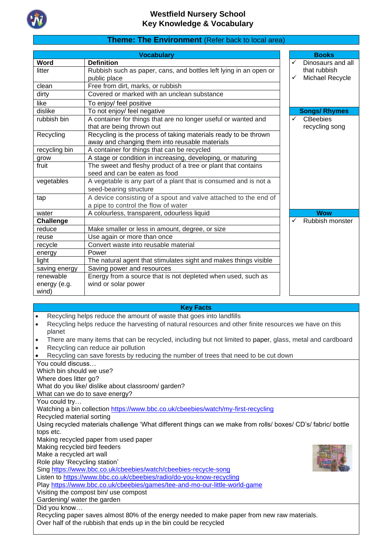

### **Theme: The Environment** (Refer back to local area)

|               | <b>Vocabulary</b>                                                 |   | <b>Books</b>         |
|---------------|-------------------------------------------------------------------|---|----------------------|
| Word          | <b>Definition</b>                                                 | ✓ | Dinosaurs and all    |
| litter        | Rubbish such as paper, cans, and bottles left lying in an open or |   | that rubbish         |
|               | public place                                                      | ✓ | Michael Recycle      |
| clean         | Free from dirt, marks, or rubbish                                 |   |                      |
| dirty         | Covered or marked with an unclean substance                       |   |                      |
| like          | To enjoy/ feel positive                                           |   |                      |
| dislike       | To not enjoy/ feel negative                                       |   | <b>Songs/ Rhymes</b> |
| rubbish bin   | A container for things that are no longer useful or wanted and    | ✓ | <b>CBeebies</b>      |
|               | that are being thrown out                                         |   | recycling song       |
| Recycling     | Recycling is the process of taking materials ready to be thrown   |   |                      |
|               | away and changing them into reusable materials                    |   |                      |
| recycling bin | A container for things that can be recycled                       |   |                      |
| grow          | A stage or condition in increasing, developing, or maturing       |   |                      |
| fruit         | The sweet and fleshy product of a tree or plant that contains     |   |                      |
|               | seed and can be eaten as food                                     |   |                      |
| vegetables    | A vegetable is any part of a plant that is consumed and is not a  |   |                      |
|               | seed-bearing structure                                            |   |                      |
| tap           | A device consisting of a spout and valve attached to the end of   |   |                      |
|               | a pipe to control the flow of water                               |   |                      |
| water         | A colourless, transparent, odourless liquid                       |   | <b>Wow</b>           |
| Challenge     |                                                                   | ✓ | Rubbish monster      |
| reduce        | Make smaller or less in amount, degree, or size                   |   |                      |
| reuse         | Use again or more than once                                       |   |                      |
| recycle       | Convert waste into reusable material                              |   |                      |
| energy        | Power                                                             |   |                      |
| light         | The natural agent that stimulates sight and makes things visible  |   |                      |
| saving energy | Saving power and resources                                        |   |                      |
| renewable     | Energy from a source that is not depleted when used, such as      |   |                      |
| energy (e.g.  | wind or solar power                                               |   |                      |
| wind)         |                                                                   |   |                      |

#### **Key Facts**

- Recycling helps reduce the amount of waste that goes into landfills
- Recycling helps reduce the harvesting of natural resources and other finite resources we have on this planet
- There are many items that can be recycled, including but not limited to [paper,](https://www.factsjustforkids.com/technology-facts/paper-facts-for-kids.html) glass, metal and cardboard
- Recycling can reduce air pollution

• Recycling can save forests by reducing the number of trees that need to be cut down

You could discuss… Which bin should we use?

Where does litter go?

What do you like/ dislike about classroom/ garden?

What can we do to save energy?

You could try…

Watching a bin collection<https://www.bbc.co.uk/cbeebies/watch/my-first-recycling>

Recycled material sorting

Using recycled materials challenge 'What different things can we make from rolls/ boxes/ CD's/ fabric/ bottle tops etc.

Making recycled paper from used paper

Making recycled bird feeders

Make a recycled art wall

Role play 'Recycling station'

Sing<https://www.bbc.co.uk/cbeebies/watch/cbeebies-recycle-song>

Listen to<https://www.bbc.co.uk/cbeebies/radio/do-you-know-recycling>

Play<https://www.bbc.co.uk/cbeebies/games/tee-and-mo-our-little-world-game>

Visiting the compost bin/ use compost

Gardening/ water the garden

Did you know…

Recycling paper saves almost 80% of the energy needed to make paper from new raw materials. Over half of the rubbish that ends up in the bin could be recycled

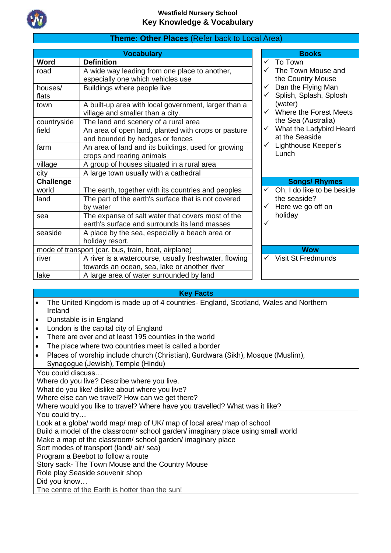

# **Theme: Other Places** (Refer back to Local Area)

| <b>Vocabulary</b> |                                                       |  |              | <b>Books</b>               |
|-------------------|-------------------------------------------------------|--|--------------|----------------------------|
| <b>Word</b>       | <b>Definition</b>                                     |  |              | $\checkmark$ To Town       |
| road              | A wide way leading from one place to another,         |  |              | The Town Mouse and         |
|                   | especially one which vehicles use                     |  |              | the Country Mouse          |
| houses/           | Buildings where people live                           |  | $\checkmark$ | Dan the Flying Man         |
| flats             |                                                       |  |              | Splish, Splash, Splosh     |
| town              | A built-up area with local government, larger than a  |  |              | (water)                    |
|                   | village and smaller than a city.                      |  |              | Where the Forest Meets     |
| countryside       | The land and scenery of a rural area                  |  |              | the Sea (Australia)        |
| field             | An area of open land, planted with crops or pasture   |  | $\checkmark$ | What the Ladybird Heard    |
|                   | and bounded by hedges or fences                       |  |              | at the Seaside             |
| farm              | An area of land and its buildings, used for growing   |  | $\checkmark$ | Lighthouse Keeper's        |
|                   | crops and rearing animals                             |  |              | Lunch                      |
| village           | A group of houses situated in a rural area            |  |              |                            |
| city              | A large town usually with a cathedral                 |  |              |                            |
| <b>Challenge</b>  |                                                       |  |              | <b>Songs/ Rhymes</b>       |
| world             | The earth, together with its countries and peoples    |  |              | Oh, I do like to be beside |
| land              | The part of the earth's surface that is not covered   |  |              | the seaside?               |
|                   | by water                                              |  |              | Here we go off on          |
| sea               | The expanse of salt water that covers most of the     |  |              | holiday                    |
|                   | earth's surface and surrounds its land masses         |  | ✓            |                            |
| seaside           | A place by the sea, especially a beach area or        |  |              |                            |
|                   | holiday resort.                                       |  |              |                            |
|                   | mode of transport (car, bus, train, boat, airplane)   |  |              | <b>Wow</b>                 |
| river             | A river is a watercourse, usually freshwater, flowing |  | $\checkmark$ | <b>Visit St Fredmunds</b>  |
|                   | towards an ocean, sea, lake or another river          |  |              |                            |
| lake              | A large area of water surrounded by land              |  |              |                            |

### **Key Facts**

- The United Kingdom is made up of 4 countries- England, Scotland, Wales and Northern Ireland
- Dunstable is in England
- London is the capital city of England
- There are over and at least 195 counties in the world
- The place where two countries meet is called a border
- Places of worship include church (Christian), Gurdwara (Sikh), Mosque (Muslim), Synagogue (Jewish), Temple (Hindu)

You could discuss…

Where do you live? Describe where you live.

What do you like/ dislike about where you live?

Where else can we travel? How can we get there?

Where would you like to travel? Where have you travelled? What was it like?

You could try...

Look at a globe/ world map/ map of UK/ map of local area/ map of school

Build a model of the classroom/ school garden/ imaginary place using small world

Make a map of the classroom/ school garden/ imaginary place

Sort modes of transport (land/ air/ sea)

Program a Beebot to follow a route

Story sack- The Town Mouse and the Country Mouse

Role play Seaside souvenir shop

Did you know…

The centre of the Earth is hotter than the sun!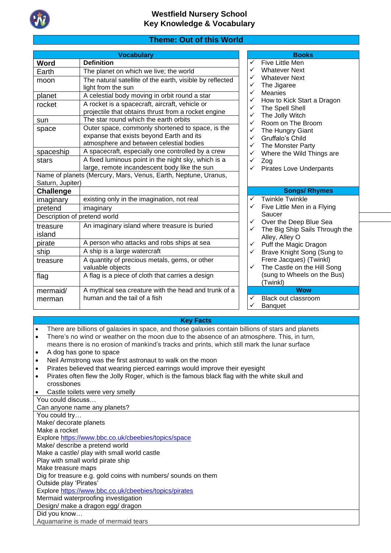

## **Theme: Out of this World**

|                    | <b>Vocabulary</b>                                                                                                                       |                   | <b>Books</b>                                                    |
|--------------------|-----------------------------------------------------------------------------------------------------------------------------------------|-------------------|-----------------------------------------------------------------|
| <b>Word</b>        | <b>Definition</b>                                                                                                                       | ✓                 | Five Little Men                                                 |
| Earth              | The planet on which we live; the world                                                                                                  |                   | <b>Whatever Next</b>                                            |
| moon               | The natural satellite of the earth, visible by reflected<br>light from the sun                                                          | ✓<br>✓            | <b>Whatever Next</b><br>The Jigaree                             |
| planet             | A celestial body moving in orbit round a star                                                                                           | ✓<br>✓            | <b>Meanies</b><br>How to Kick Start                             |
| rocket             | A rocket is a spacecraft, aircraft, vehicle or<br>projectile that obtains thrust from a rocket engine                                   | ✓<br>✓            | The Spell Shell<br>The Jolly Witch                              |
| sun                | The star round which the earth orbits                                                                                                   | ✓                 | Room on The Bro                                                 |
| space              | Outer space, commonly shortened to space, is the<br>expanse that exists beyond Earth and its<br>atmosphere and between celestial bodies | ✓<br>✓<br>✓       | The Hungry Giant<br>Gruffalo's Child<br><b>The Monster Part</b> |
| spaceship          | A spacecraft, especially one controlled by a crew                                                                                       | ✓                 | Where the Wild TI                                               |
| stars              | A fixed luminous point in the night sky, which is a<br>large, remote incandescent body like the sun                                     | ✓<br>$\checkmark$ | Zog<br>Pirates Love Und                                         |
| Saturn, Jupiter)   | Name of planets (Mercury, Mars, Venus, Earth, Neptune, Uranus,                                                                          |                   |                                                                 |
| <b>Challenge</b>   |                                                                                                                                         |                   | <b>Songs/R</b>                                                  |
| imaginary          | existing only in the imagination, not real                                                                                              | ✓                 | <b>Twinkle Twinkle</b>                                          |
| pretend            | imaginary                                                                                                                               | ✓                 | Five Little Men in                                              |
|                    | Description of pretend world                                                                                                            |                   | Saucer                                                          |
| treasure<br>island | An imaginary island where treasure is buried                                                                                            | ✓<br>✓            | Over the Deep Blo<br>The Big Ship Sails<br>Alley, Alley O       |
| pirate             | A person who attacks and robs ships at sea                                                                                              | ✓                 | Puff the Magic Dra                                              |
| ship               | A ship is a large watercraft                                                                                                            | ✓                 | <b>Brave Knight Son</b>                                         |
| treasure           | A quantity of precious metals, gems, or other<br>valuable objects                                                                       | ✓                 | Frere Jacques) (T<br>The Castle on the                          |
| flag               | A flag is a piece of cloth that carries a design                                                                                        |                   | (sung to Wheels o<br>(Twinkl)                                   |
| mermaid/           | A mythical sea creature with the head and trunk of a                                                                                    |                   | <b>Wow</b>                                                      |
| merman             | human and the tail of a fish                                                                                                            | ✓                 | Black out classroo<br>$P_{nnn+1}$                               |

- Whatever Next
- Whatever Next
- The Jigaree
- **Meanies**
- ✓ How to Kick Start a Dragon
- The Spell Shell
- The Jolly Witch
- ✓ Room on The Broom
- The Hungry Giant
- Gruffalo's Child
- The Monster Party
- Where the Wild Things are
- Zog
- **Pirates Love Underpants**

#### **Songs/ Rhymes**

- Twinkle Twinkle
- Five Little Men in a Flying Saucer
- Over the Deep Blue Sea
- The Big Ship Sails Through the Alley, Alley O
- Puff the Magic Dragon Brave Knight Song (Sung to
- Frere Jacques) (Twinkl)
- The Castle on the Hill Song (sung to Wheels on the Bus) (Twinkl)

### **Wow**

- **Black out classroom**
- **Banquet**

#### **Key Facts**

- There are billions of galaxies in space, and those galaxies contain billions of stars and planets
- There's no wind or weather on the moon due to the absence of an atmosphere. This, in turn,
- means there is no erosion of mankind's tracks and prints, which still mark the lunar surface
- A dog has gone to space
- Neil Armstrong was the first astronaut to walk on the moon
- Pirates believed that wearing pierced earrings would improve their eyesight
- Pirates often flew the Jolly Roger, which is the famous black flag with the white skull and crossbones

Castle toilets were very smelly

You could discuss… Can anyone name any planets? You could try… Make/ decorate planets Make a rocket Explore<https://www.bbc.co.uk/cbeebies/topics/space> Make/ describe a pretend world Make a castle/ play with small world castle Play with small world pirate ship Make treasure maps Dig for treasure e.g. gold coins with numbers/ sounds on them Outside play 'Pirates' Explore<https://www.bbc.co.uk/cbeebies/topics/pirates> Mermaid waterproofing investigation Design/ make a dragon egg/ dragon Did you know… Aquamarine is made of mermaid tears